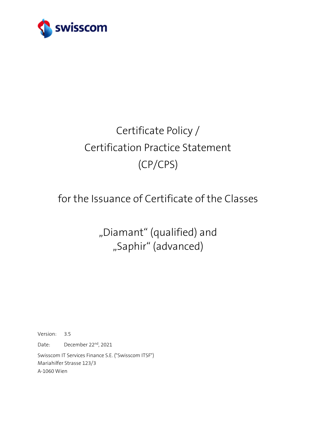

# Certificate Policy / Certification Practice Statement (CP/CPS)

## for the Issuance of Certificate of the Classes

"Diamant" (qualified) and "Saphir" (advanced)

Version: 3.5 Date: December 22<sup>nd</sup>, 2021 Swisscom IT Services Finance S.E. ("Swisscom ITSF") Mariahilfer Strasse 123/3 A-1060 Wien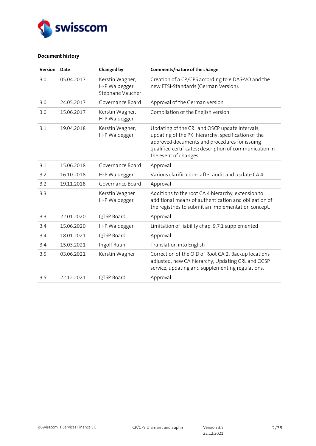

## **Document history**

| Version | <b>Date</b> | <b>Changed by</b>                                     | Comments/nature of the change                                                                                                                                                                                                              |
|---------|-------------|-------------------------------------------------------|--------------------------------------------------------------------------------------------------------------------------------------------------------------------------------------------------------------------------------------------|
| 3.0     | 05.04.2017  | Kerstin Wagner,<br>H-P Waldegger,<br>Stéphane Vaucher | Creation of a CP/CPS according to eIDAS-VO and the<br>new ETSI-Standards (German Version).                                                                                                                                                 |
| 3.0     | 24.05.2017  | Governance Board                                      | Approval of the German version                                                                                                                                                                                                             |
| 3.0     | 15.06.2017  | Kerstin Wagner,<br>H-P Waldegger                      | Compilation of the English version                                                                                                                                                                                                         |
| 3.1     | 19.04.2018  | Kerstin Wagner,<br>H-P Waldegger                      | Updating of the CRL and OSCP update intervals;<br>updating of the PKI hierarchy; specification of the<br>approved documents and procedures for issuing<br>qualified certificates; description of communication in<br>the event of changes. |
| 3.1     | 15.06.2018  | Governance Board                                      | Approval                                                                                                                                                                                                                                   |
| 3.2     | 16.10.2018  | H-P Waldegger                                         | Various clarifications after audit and update CA 4                                                                                                                                                                                         |
| 3.2     | 19.11.2018  | Governance Board                                      | Approval                                                                                                                                                                                                                                   |
| 3.3     |             | Kerstin Wagner<br>H-P Waldegger                       | Additions to the root CA 4 hierarchy, extension to<br>additional means of authentication and obligation of<br>the registries to submit an implementation concept.                                                                          |
| 3.3     | 22.01.2020  | QTSP Board                                            | Approval                                                                                                                                                                                                                                   |
| 3.4     | 15.06.2020  | H-P Waldegger                                         | Limitation of liability chap. 9.7.1 supplemented                                                                                                                                                                                           |
| 3.4     | 18.01.2021  | QTSP Board                                            | Approval                                                                                                                                                                                                                                   |
| 3.4     | 15.03.2021  | Ingolf Rauh                                           | Translation into English                                                                                                                                                                                                                   |
| 3.5     | 03.06.2021  | Kerstin Wagner                                        | Correction of the OID of Root CA 2; Backup locations<br>adjusted, new CA hierarchy, Updating CRL and OCSP<br>service, updating and supplementing regulations.                                                                              |
| 3.5     | 22.12.2021  | QTSP Board                                            | Approval                                                                                                                                                                                                                                   |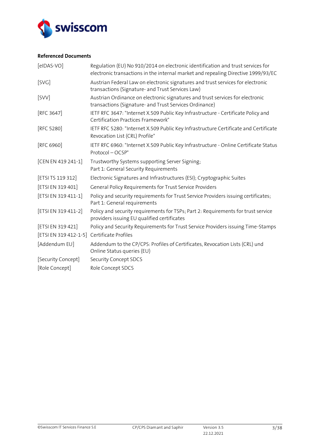

## **Referenced Documents**

<span id="page-2-12"></span><span id="page-2-11"></span><span id="page-2-10"></span><span id="page-2-9"></span><span id="page-2-8"></span><span id="page-2-7"></span><span id="page-2-6"></span><span id="page-2-5"></span><span id="page-2-4"></span><span id="page-2-3"></span><span id="page-2-2"></span><span id="page-2-1"></span><span id="page-2-0"></span>

| $[elDAS-VO]$                               | Regulation (EU) No 910/2014 on electronic identification and trust services for<br>electronic transactions in the internal market and repealing Directive 1999/93/EC |
|--------------------------------------------|----------------------------------------------------------------------------------------------------------------------------------------------------------------------|
| [SVG]                                      | Austrian Federal Law on electronic signatures and trust services for electronic<br>transactions (Signature- and Trust Services Law)                                  |
| [SVV]                                      | Austrian Ordinance on electronic signatures and trust services for electronic<br>transactions (Signature- and Trust Services Ordinance)                              |
| [RFC 3647]                                 | IETF RFC 3647: "Internet X.509 Public Key Infrastructure - Certificate Policy and<br>Certification Practices Framework"                                              |
| [RFC 5280]                                 | IETF RFC 5280: "Internet X.509 Public Key Infrastructure Certificate and Certificate<br>Revocation List (CRL) Profile"                                               |
| [RFC 6960]                                 | IETF RFC 6960: "Internet X.509 Public Key Infrastructure - Online Certificate Status<br>Protocol-OCSP"                                                               |
| [CEN EN 419 241-1]                         | Trustworthy Systems supporting Server Signing;<br>Part 1: General Security Requirements                                                                              |
| [ETSI TS 119 312]                          | Electronic Signatures and Infrastructures (ESI); Cryptographic Suites                                                                                                |
| [ETSI EN 319 401]                          | General Policy Requirements for Trust Service Providers                                                                                                              |
| [ETSI EN 319 411-1]                        | Policy and security requirements for Trust Service Providers issuing certificates;<br>Part 1: General requirements                                                   |
| [ETSI EN 319 411-2]                        | Policy and security requirements for TSPs; Part 2: Requirements for trust service<br>providers issuing EU qualified certificates                                     |
| [ETSI EN 319 421]                          | Policy and Security Requirements for Trust Service Providers issuing Time-Stamps                                                                                     |
| [ETSI EN 319 412-1-5] Certificate Profiles |                                                                                                                                                                      |
| [Addendum EU]                              | Addendum to the CP/CPS: Profiles of Certificates, Revocation Lists (CRL) und<br>Online Status queries (EU)                                                           |
| [Security Concept]                         | Security Concept SDCS                                                                                                                                                |
| [Role Concept]                             | Role Concept SDCS                                                                                                                                                    |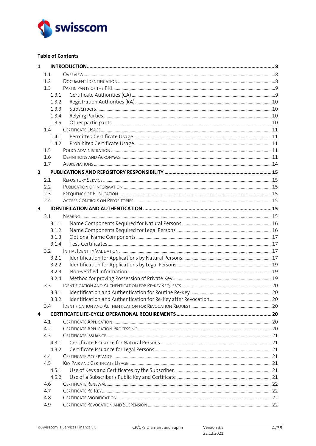

## **Table of Contents**

| $\mathbf{1}$            |       |  |
|-------------------------|-------|--|
|                         | 1.1   |  |
|                         | 1.2   |  |
|                         | 1.3   |  |
|                         | 1.3.1 |  |
|                         | 1.3.2 |  |
|                         | 1.3.3 |  |
|                         | 1.3.4 |  |
|                         | 1.3.5 |  |
|                         | 1.4   |  |
|                         | 1.4.1 |  |
|                         | 1.4.2 |  |
|                         | 1.5   |  |
|                         | 1.6   |  |
|                         | 1.7   |  |
| $\overline{2}$          |       |  |
|                         |       |  |
|                         | 2.1   |  |
|                         | 2.2   |  |
|                         | 2.3   |  |
|                         | 2.4   |  |
| $\overline{\mathbf{3}}$ |       |  |
|                         | 3.1   |  |
|                         | 3.1.1 |  |
|                         | 3.1.2 |  |
|                         | 3.1.3 |  |
|                         | 3.1.4 |  |
|                         | 3.2   |  |
|                         | 3.2.1 |  |
|                         | 3.2.2 |  |
|                         | 3.2.3 |  |
|                         | 3.2.4 |  |
|                         | 3.3   |  |
|                         | 3.3.1 |  |
|                         | 3.3.2 |  |
|                         | 3.4   |  |
| 4                       |       |  |
|                         | 4.1   |  |
|                         | 4.2   |  |
|                         | 4.3   |  |
|                         | 4.3.1 |  |
|                         | 4.3.2 |  |
|                         | 4.4   |  |
|                         | 4.5   |  |
|                         | 4.5.1 |  |
|                         | 4.5.2 |  |
|                         | 4.6   |  |
|                         | 4.7   |  |
|                         |       |  |
|                         | 4.8   |  |
|                         | 4.9   |  |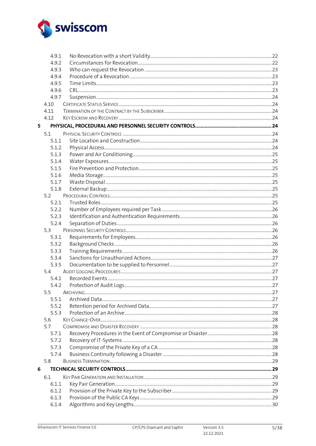

|   | 4.9.1      |  |
|---|------------|--|
|   | 4.9.2      |  |
|   | 4.9.3      |  |
|   | 4.9.4      |  |
|   | 4.9.5      |  |
|   | 4.9.6      |  |
|   | 4.9.7      |  |
|   | 4.10       |  |
|   | 4.11       |  |
|   | 4.12       |  |
| 5 |            |  |
|   | 5.1        |  |
|   | 5.1.1      |  |
|   | 5.1.2      |  |
|   | 5.1.3      |  |
|   | 5.1.4      |  |
|   | 5.1.5      |  |
|   | 5.1.6      |  |
|   | 5.1.7      |  |
|   | 5.1.8      |  |
|   | 5.2        |  |
|   | 5.2.1      |  |
|   | 5.2.2      |  |
|   | 5.2.3      |  |
|   | 5.2.4      |  |
|   | 5.3        |  |
|   | 5.3.1      |  |
|   | 5.3.2      |  |
|   | 5.3.3      |  |
|   | 5.3.4      |  |
|   | 5.3.5      |  |
|   | 5.4        |  |
|   | 5.4.1      |  |
|   | 5.4.2      |  |
|   | 5.5        |  |
|   | 5.5.1      |  |
|   | 5.5.2      |  |
|   | 5.5.3      |  |
|   | 5.6<br>5.7 |  |
|   | 5.7.1      |  |
|   | 5.7.2      |  |
|   | 5.7.3      |  |
|   | 5.7.4      |  |
|   | 5.8        |  |
| 6 |            |  |
|   | 6.1        |  |
|   | 6.1.1      |  |
|   | 6.1.2      |  |
|   | 6.1.3      |  |
|   | 6.1.4      |  |
|   |            |  |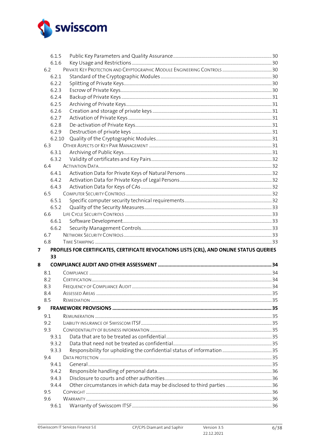

|   | 6.1.5        |                                                                                           |  |
|---|--------------|-------------------------------------------------------------------------------------------|--|
|   | 6.1.6        |                                                                                           |  |
|   | 6.2          |                                                                                           |  |
|   | 6.2.1        |                                                                                           |  |
|   | 6.2.2        |                                                                                           |  |
|   | 6.2.3        |                                                                                           |  |
|   | 6.2.4        |                                                                                           |  |
|   | 6.2.5        |                                                                                           |  |
|   | 6.2.6        |                                                                                           |  |
|   | 6.2.7        |                                                                                           |  |
|   | 6.2.8        |                                                                                           |  |
|   | 6.2.9        |                                                                                           |  |
|   | 6.2.10       |                                                                                           |  |
|   | 6.3          |                                                                                           |  |
|   | 6.3.1        |                                                                                           |  |
|   | 6.3.2        |                                                                                           |  |
|   | 6.4          |                                                                                           |  |
|   | 6.4.1        |                                                                                           |  |
|   | 6.4.2        |                                                                                           |  |
|   | 6.4.3        |                                                                                           |  |
|   | 6.5          |                                                                                           |  |
|   | 6.5.1        |                                                                                           |  |
|   | 6.5.2        |                                                                                           |  |
|   | 6.6          |                                                                                           |  |
|   | 6.6.1        |                                                                                           |  |
|   |              |                                                                                           |  |
|   | 6.6.2        |                                                                                           |  |
|   | 6.7          |                                                                                           |  |
|   | 6.8          |                                                                                           |  |
| 7 |              | PROFILES FOR CERTIFICATES, CERTIFICATE REVOCATIONS LISTS (CRL), AND ONLINE STATUS QUERIES |  |
|   | 33           |                                                                                           |  |
| 8 |              |                                                                                           |  |
|   | 8.1          |                                                                                           |  |
|   | 8.2          |                                                                                           |  |
|   | 8.3          |                                                                                           |  |
|   | 8.4          |                                                                                           |  |
|   | 8.5          |                                                                                           |  |
|   |              |                                                                                           |  |
| 9 | 9.1          |                                                                                           |  |
|   | 9.2          |                                                                                           |  |
|   | 9.3          |                                                                                           |  |
|   | 9.3.1        |                                                                                           |  |
|   | 9.3.2        |                                                                                           |  |
|   | 9.3.3        |                                                                                           |  |
|   | 9.4          |                                                                                           |  |
|   | 9.4.1        |                                                                                           |  |
|   | 9.4.2        |                                                                                           |  |
|   | 9.4.3        |                                                                                           |  |
|   | 9.4.4        |                                                                                           |  |
|   | 9.5          |                                                                                           |  |
|   | 9.6<br>9.6.1 |                                                                                           |  |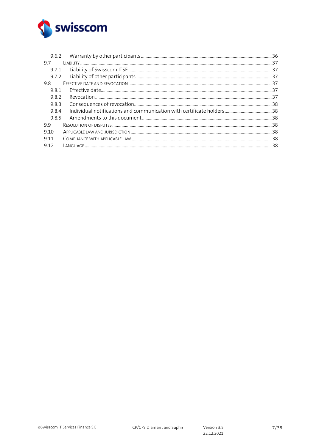

| 9.6.2 |                                                                                                                 |  |
|-------|-----------------------------------------------------------------------------------------------------------------|--|
| 9.7   |                                                                                                                 |  |
| 9.7.1 |                                                                                                                 |  |
| 9.7.2 |                                                                                                                 |  |
| 9.8   |                                                                                                                 |  |
| 981   |                                                                                                                 |  |
| 982   |                                                                                                                 |  |
| 9.8.3 |                                                                                                                 |  |
| 9.8.4 |                                                                                                                 |  |
| 985   |                                                                                                                 |  |
| 99    | 8. سيستنسخ سنستنسخ المستنسخ المستنسخ المستنسخ المستنسخ المستنسخ المستنسخ المعادل المستنسخة المستندر المناقلة ال |  |
| 9.10  |                                                                                                                 |  |
| 9 1 1 |                                                                                                                 |  |
| 9.12  |                                                                                                                 |  |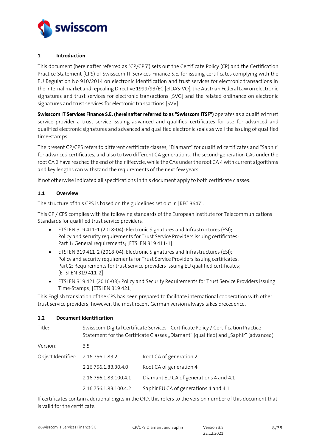

#### <span id="page-7-0"></span>**1 Introduction**

This document (hereinafter referred as "CP/CPS") sets out the Certificate Policy (CP) and the Certification Practice Statement (CPS) of Swisscom IT Services Finance S.E. for issuing certificates complying with the EU Regulation No 910/2014 on electronic identification and trust services for electronic transactions in the internal market and repealing Directive 1999/93/EC [\[eIDAS-VO\],](#page-2-0) the Austrian Federal Law on electronic signatures and trust services for electronic transactions [\[SVG\]](#page-2-1) and the related ordinance on electronic signatures and trust services for electronic transactions [\[SVV\].](#page-2-2)

**Swisscom IT Services Finance S.E. (hereinafter referred to as "Swisscom ITSF")** operates as a qualified trust service provider a trust service issuing advanced and qualified certificates for use for advanced and qualified electronic signatures and advanced and qualified electronic seals as well the issuing of qualified time-stamps.

The present CP/CPS refers to different certificate classes, "Diamant" for qualified certificates and "Saphir" for advanced certificates, and also to two different CA generations. The second-generation CAs under the root CA 2 have reached the end of their lifecycle, while the CAs under the root CA 4 with current algorithms and key lengths can withstand the requirements of the next few years.

If not otherwise indicated all specifications in this document apply to both certificate classes.

## <span id="page-7-1"></span>**1.1 Overview**

The structure of this CPS is based on the guidelines set out i[n \[RFC 3647\].](#page-2-3)

This CP / CPS complies with the following standards of the European Institute for Telecommunications Standards for qualified trust service providers:

- ETSI EN 319 411-1 (2018-04): Electronic Signatures and Infrastructures (ESI); Policy and security requirements for Trust Service Providers issuing certificates; Part 1: General requirements; [\[ETSI EN 319 411-1\]](#page-2-4)
- ETSI EN 319 411-2 (2018-04): Electronic Signatures and Infrastructures (ESI); Policy and security requirements for Trust Service Providers issuing certificates; Part 2: Requirements for trust service providers issuing EU qualified certificates; [\[ETSI EN 319 411-2\]](#page-2-5)
- ETSI EN 319 421 (2016-03): Policy and Security Requirements for Trust Service Providers issuing Time-Stamps; [\[ETSI EN 319 421\]](#page-2-6)

This English translation of the CPS has been prepared to facilitate international cooperation with other trust service providers; however, the most recent German version always takes precedence.

## <span id="page-7-2"></span>**1.2 Document Identification**

| Swisscom Digital Certificate Services - Certificate Policy / Certification Practice<br>Statement for the Certificate Classes "Diamant" (qualified) and "Saphir" (advanced) |                                        |  |
|----------------------------------------------------------------------------------------------------------------------------------------------------------------------------|----------------------------------------|--|
| 3.5                                                                                                                                                                        |                                        |  |
| Object Identifier: 2.16.756.1.83.2.1                                                                                                                                       | Root CA of generation 2                |  |
| 2.16.756.1.83.30.4.0                                                                                                                                                       | Root CA of generation 4                |  |
| 2.16.756.1.83.100.4.1                                                                                                                                                      | Diamant EU CA of generations 4 and 4.1 |  |
| 2.16.756.1.83.100.4.2                                                                                                                                                      | Saphir EU CA of generations 4 and 4.1  |  |
|                                                                                                                                                                            |                                        |  |

If certificates contain additional digits in the OID, this refers to the version number of this document that is valid for the certificate.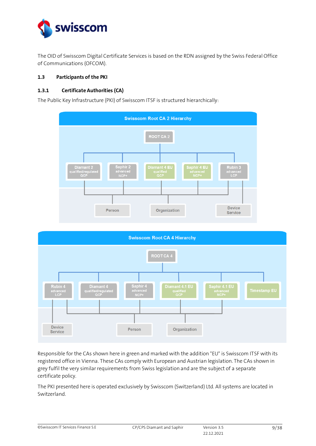

The OID of Swisscom Digital Certificate Services is based on the RDN assigned by the Swiss Federal Office of Communications (OFCOM).

#### <span id="page-8-0"></span>**1.3 Participants of the PKI**

## <span id="page-8-1"></span>**1.3.1 Certificate Authorities (CA)**

The Public Key Infrastructure (PKI) of Swisscom ITSF is structured hierarchically:





Responsible for the CAs shown here in green and marked with the addition "EU" is Swisscom ITSF with its registered office in Vienna. These CAs comply with European and Austrian legislation. The CAs shown in grey fulfil the very similar requirements from Swiss legislation and are the subject of a separate certificate policy.

The PKI presented here is operated exclusively by Swisscom (Switzerland) Ltd. All systems are located in Switzerland.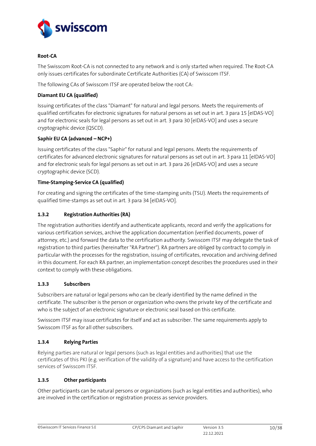

### **Root-CA**

The Swisscom Root-CA is not connected to any network and is only started when required. The Root-CA only issues certificates for subordinate Certificate Authorities (CA) of Swisscom ITSF.

The following CAs of Swisscom ITSF are operated below the root CA:

## **Diamant EU CA (qualified)**

Issuing certificates of the class "Diamant" for natural and legal persons. Meets the requirements of qualified certificates for electronic signatures for natural persons as set out in art. 3 para 1[5 \[eIDAS-VO\]](#page-2-0) and for electronic seals for legal persons as set out in art. 3 para 3[0 \[eIDAS-VO\]](#page-2-0) and uses a secure cryptographic device (QSCD).

### **Saphir EU CA (advanced –NCP+)**

Issuing certificates of the class "Saphir" for natural and legal persons. Meets the requirements of certificates for advanced electronic signatures for natural persons as set out in art. 3 para 11 [\[eIDAS-VO\]](#page-2-0) and for electronic seals for legal persons as set out in art. 3 para 2[6 \[eIDAS-VO\]](#page-2-0) and uses a secure cryptographic device (SCD).

### **Time-Stamping-Service CA (qualified)**

For creating and signing the certificates of the time-stamping units (TSU). Meets the requirements of qualified time-stamps as set out in art. 3 para 3[4 \[eIDAS-VO\].](#page-2-0)

## <span id="page-9-0"></span>**1.3.2 Registration Authorities (RA)**

The registration authorities identify and authenticate applicants, record and verify the applications for various certification services, archive the application documentation (verified documents, power of attorney, etc.) and forward the data to the certification authority. Swisscom ITSF may delegate the task of registration to third parties (hereinafter "RA Partner"). RA partners are obliged by contract to comply in particular with the processes for the registration, issuing of certificates, revocation and archiving defined in this document. For each RA partner, an implementation concept describes the procedures used in their context to comply with these obligations.

## <span id="page-9-1"></span>**1.3.3 Subscribers**

Subscribers are natural or legal persons who can be clearly identified by the name defined in the certificate. The subscriber is the person or organization who owns the private key of the certificate and who is the subject of an electronic signature or electronic seal based on this certificate.

Swisscom ITSF may issue certificates for itself and act as subscriber. The same requirements apply to Swisscom ITSF as for all other subscribers.

## <span id="page-9-2"></span>**1.3.4 Relying Parties**

Relying parties are natural or legal persons (such as legal entities and authorities) that use the certificates of this PKI (e.g. verification of the validity of a signature) and have access to the certification services of Swisscom ITSF.

#### <span id="page-9-3"></span>**1.3.5 Other participants**

Other participants can be natural persons or organizations (such as legal entities and authorities), who are involved in the certification or registration process as service providers.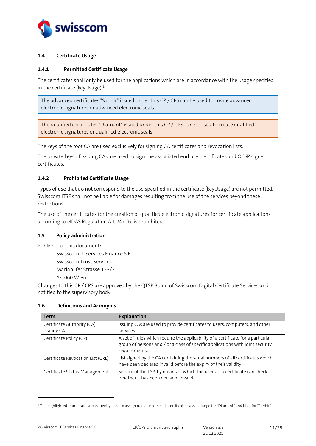

## <span id="page-10-0"></span>**1.4 Certificate Usage**

#### <span id="page-10-1"></span>**1.4.1 Permitted Certificate Usage**

The certificates shall only be used for the applications which are in accordance with the usage specified in the certificate (keyUsage). 1

The advanced certificates "Saphir" issued under this CP / CPS can be used to create advanced electronic signatures or advanced electronic seals.

The qualified certificates "Diamant" issued under this CP / CPS can be used to create qualified electronic signatures or qualified electronic seals

The keys of the root CA are used exclusively for signing CA certificates and revocation lists.

The private keys of issuing CAs are used to sign the associated end user certificates and OCSP signer certificates.

## <span id="page-10-2"></span>**1.4.2 Prohibited Certificate Usage**

Types of use that do not correspond to the use specified in the certificate (keyUsage) are not permitted. Swisscom ITSF shall not be liable for damages resulting from the use of the services beyond these restrictions.

The use of the certificates for the creation of qualified electronic signatures for certificate applications according to eIDAS Regulation Art 24 (1) c is prohibited.

## <span id="page-10-3"></span>**1.5 Policy administration**

Publisher of this document:

Swisscom IT Services Finance S.E.

Swisscom Trust Services

Mariahilfer Strasse 123/3

A-1060 Wien

Changes to this CP / CPS are approved by the QTSP Board of Swisscom Digital Certificate Services and notified to the supervisory body.

#### <span id="page-10-4"></span>**1.6 Definitions and Acronyms**

| <b>Term</b>                               | <b>Explanation</b>                                                                                                                                                                  |
|-------------------------------------------|-------------------------------------------------------------------------------------------------------------------------------------------------------------------------------------|
| Certificate Authority (CA),<br>Issuing CA | Issuing CAs are used to provide certificates to users, computers, and other<br>services.                                                                                            |
| Certificate Policy (CP)                   | A set of rules which require the applicability of a certificate for a particular<br>group of persons and / or a class of specific applications with joint security<br>requirements. |
| Certificate Revocation List (CRL)         | List signed by the CA containing the serial numbers of all certificates which<br>have been declared invalid before the expiry of their validity.                                    |
| Certificate Status Management             | Service of the TSP, by means of which the users of a certificate can check<br>whether it has been declared invalid.                                                                 |

<sup>&</sup>lt;sup>1</sup> The highlighted frames are subsequently used to assign rules for a specific certificate class - orange for "Diamant" and blue for "Saphir".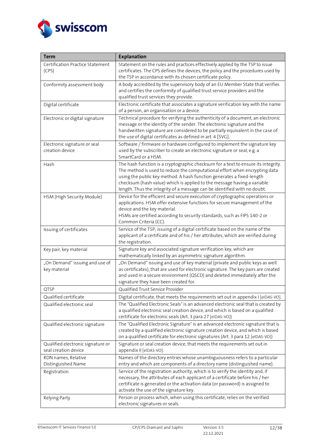

| <b>Term</b>                                               | <b>Explanation</b>                                                                                                                                                                                                                                                                                                                                                                              |  |  |
|-----------------------------------------------------------|-------------------------------------------------------------------------------------------------------------------------------------------------------------------------------------------------------------------------------------------------------------------------------------------------------------------------------------------------------------------------------------------------|--|--|
| Certification Practice Statement<br>(CPS)                 | Statement on the rules and practices effectively applied by the TSP to issue<br>certificates. The CPS defines the devices, the policy and the procedures used by<br>the TSP in accordance with its chosen certificate policy.                                                                                                                                                                   |  |  |
| Conformity assessment body                                | A body accredited by the supervisory body of an EU Member State that verifies<br>and certifies the conformity of qualified trust service providers and the<br>qualified trust services they provide.                                                                                                                                                                                            |  |  |
| Digital certificate                                       | Electronic certificate that associates a signature verification key with the name<br>of a person, an organisation or a device.                                                                                                                                                                                                                                                                  |  |  |
| Electronic or digital signature                           | Technical procedure for verifying the authenticity of a document, an electronic<br>message or the identity of the sender. The electronic signature and the<br>handwritten signature are considered to be partially equivalent in the case of<br>the use of digital certificates as defined in art. 4 [SVG].                                                                                     |  |  |
| Electronic signature or seal<br>creation device           | Software / firmware or hardware configured to implement the signature key<br>used by the subscriber to create an electronic signature or seal, e.g. a<br>SmartCard or a HSM.                                                                                                                                                                                                                    |  |  |
| Hash                                                      | The hash function is a cryptographic checksum for a text to ensure its integrity.<br>The method is used to reduce the computational effort when encrypting data<br>using the public key method. A hash function generates a fixed-length<br>checksum (hash value) which is applied to the message having a variable<br>length. Thus the integrity of a message can be identified with no doubt. |  |  |
| HSM (High Security Module)                                | Device for the efficient and secure execution of cryptographic operations or<br>applications. HSM offer extensive functions for secure management of the<br>device and the key material.<br>HSMs are certified according to security standards, such as FIPS 140-2 or<br>Common Criteria (CC).                                                                                                  |  |  |
| Issuing of certificates                                   | Service of the TSP; issuing of a digital certificate based on the name of the<br>applicant of a certificate and of his / her attributes, which are verified during<br>the registration.                                                                                                                                                                                                         |  |  |
| Key pair, key material                                    | Signature key and associated signature verification key, which are<br>mathematically linked by an asymmetric signature algorithm.                                                                                                                                                                                                                                                               |  |  |
| "On Demand" issuing and use of<br>key material            | "On Demand" issuing and use of key material (private and public keys as well<br>as certificates), that are used for electronic signature. The key pairs are created<br>and used in a secure environment (QSCD) and deleted immediately after the<br>signature they have been created for.                                                                                                       |  |  |
| QTSP                                                      | Qualified Trust Service Provider                                                                                                                                                                                                                                                                                                                                                                |  |  |
| Qualified certificate<br>Qualified electronic seal        | Digital certificate, that meets the requirements set out in appendix I [eIDAS-VO].<br>The "Qualified Electronic Seals" is an advanced electronic seal that is created by<br>a qualified electronic seal creation device, and which is based on a qualified<br>certificate for electronic seals (Art. 3 para 27 [eIDAS-VO])                                                                      |  |  |
| Qualified electronic signature                            | The "Qualified Electronic Signature" is an advanced electronic signature that is<br>created by a qualified electronic signature creation device, and which is based<br>on a qualified certificate for electronic signatures (Art. 3 para 12 [eIDAS-VO])                                                                                                                                         |  |  |
| Qualified electronic signature or<br>seal creation device | Signature or seal creation device, that meets the requirements set out in<br>appendix II [eIDAS-VO].                                                                                                                                                                                                                                                                                            |  |  |
| RDN names, Relative<br>Distinguished Name                 | Names of the directory entries whose unambiguousness refers to a particular<br>entry and which are components of a directory name (distinguished name).                                                                                                                                                                                                                                         |  |  |
| Registration                                              | Service of the registration authority, which is to verify the identity and, if<br>necessary, the attributes of each applicant of a certificate before his / her<br>certificate is generated or the activation data (or password) is assigned to<br>activate the use of the signature key.                                                                                                       |  |  |
| Relying Party                                             | Person or process which, when using this certificate, relies on the verified<br>electronic signatures or seals.                                                                                                                                                                                                                                                                                 |  |  |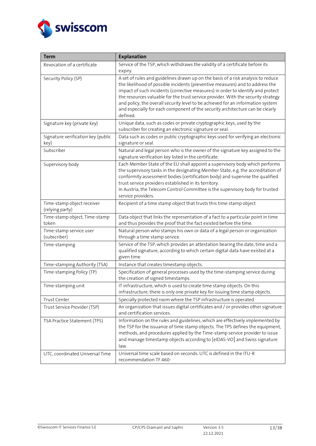

| <b>Term</b>                                   | <b>Explanation</b>                                                                                                                                                                                                                                                                                                                                                                                                                                                                                                        |  |  |
|-----------------------------------------------|---------------------------------------------------------------------------------------------------------------------------------------------------------------------------------------------------------------------------------------------------------------------------------------------------------------------------------------------------------------------------------------------------------------------------------------------------------------------------------------------------------------------------|--|--|
| Revocation of a certificate                   | Service of the TSP, which withdraws the validity of a certificate before its<br>expiry.                                                                                                                                                                                                                                                                                                                                                                                                                                   |  |  |
| Security Policy (SP)                          | A set of rules and guidelines drawn up on the basis of a risk analysis to reduce<br>the likelihood of possible incidents (preventive measures) and to address the<br>impact of such incidents (corrective measures) in order to identify and protect<br>the resources valuable for the trust service provider. With the security strategy<br>and policy, the overall security level to be achieved for an information system<br>and especially for each component of the security architecture can be clearly<br>defined. |  |  |
| Signature key (private key)                   | Unique data, such as codes or private cryptographic keys, used by the<br>subscriber for creating an electronic signature or seal.                                                                                                                                                                                                                                                                                                                                                                                         |  |  |
| Signature verification key (public<br>key)    | Data such as codes or public cryptographic keys used for verifying an electronic<br>signature or seal.                                                                                                                                                                                                                                                                                                                                                                                                                    |  |  |
| Subscriber                                    | Natural and legal person who is the owner of the signature key assigned to the<br>signature verification key listed in the certificate.                                                                                                                                                                                                                                                                                                                                                                                   |  |  |
| Supervisory body                              | Each Member State of the EU shall appoint a supervisory body which performs<br>the supervisory tasks in the designating Member State, e.g. the accreditation of<br>conformity assessment bodies (certification body) and supervise the qualified<br>trust service providers established in its territory.<br>In Austria, the Telecom Control Committee is the supervisory body for trusted<br>service providers.                                                                                                          |  |  |
| Time-stamp object receiver<br>(relying party) | Recipient of a time stamp object that trusts this time stamp object                                                                                                                                                                                                                                                                                                                                                                                                                                                       |  |  |
| Time-stamp object, Time-stamp<br>token        | Data object that links the representation of a fact to a particular point in time<br>and thus provides the proof that the fact existed before the time.                                                                                                                                                                                                                                                                                                                                                                   |  |  |
| Time-stamp service user<br>(subscriber)       | Natural person who stamps his own or data of a legal person or organization<br>through a time stamp service.                                                                                                                                                                                                                                                                                                                                                                                                              |  |  |
| Time-stamping                                 | Service of the TSP, which provides an attestation bearing the date, time and a<br>qualified signature, according to which certain digital data have existed at a<br>given time.                                                                                                                                                                                                                                                                                                                                           |  |  |
| Time-stamping Authority (TSA)                 | Instance that creates timestamp objects.                                                                                                                                                                                                                                                                                                                                                                                                                                                                                  |  |  |
| Time-stamping Policy (TP)                     | Specification of general processes used by the time-stamping service during<br>the creation of signed timestamps.                                                                                                                                                                                                                                                                                                                                                                                                         |  |  |
| Time-stamping unit                            | IT infrastructure, which is used to create time stamp objects. On this<br>infrastructure, there is only one private key for issuing time stamp objects.                                                                                                                                                                                                                                                                                                                                                                   |  |  |
| Trust Center                                  | Specially protected room where the TSP infrastructure is operated                                                                                                                                                                                                                                                                                                                                                                                                                                                         |  |  |
| Trust Service Provider (TSP)                  | An organization that issues digital certificates and / or provides other signature<br>and certification services.                                                                                                                                                                                                                                                                                                                                                                                                         |  |  |
| TSA Practice Statement (TPS)                  | Information on the rules and guidelines, which are effectively implemented by<br>the TSP for the issuance of time stamp objects. The TPS defines the equipment,<br>methods, and procedures applied by the Time-stamp service provider to issue<br>and manage timestamp objects according to [eIDAS-VO] and Swiss signature<br>law.                                                                                                                                                                                        |  |  |
| UTC, coordinated Universal Time               | Universal time scale based on seconds. UTC is defined in the ITU-R<br>recommendation TF.460-                                                                                                                                                                                                                                                                                                                                                                                                                              |  |  |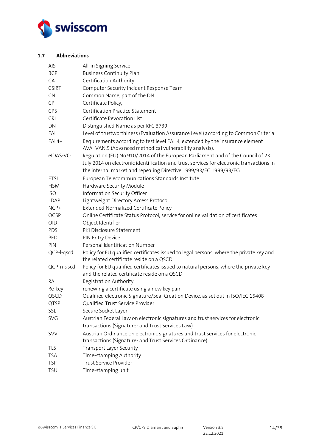

## <span id="page-13-0"></span>**1.7 Abbreviations**

| <b>AIS</b>   | All-in Signing Service                                                                                                                   |
|--------------|------------------------------------------------------------------------------------------------------------------------------------------|
| <b>BCP</b>   | <b>Business Continuity Plan</b>                                                                                                          |
| CA           | Certification Authority                                                                                                                  |
| <b>CSIRT</b> | Computer Security Incident Response Team                                                                                                 |
| <b>CN</b>    | Common Name, part of the DN                                                                                                              |
| <b>CP</b>    | Certificate Policy,                                                                                                                      |
| CPS          | Certification Practice Statement                                                                                                         |
| <b>CRL</b>   | Certificate Revocation List                                                                                                              |
| DN           | Distinguished Name as per RFC 3739                                                                                                       |
| EAL          | Level of trustworthiness (Evaluation Assurance Level) according to Common Criteria                                                       |
| EAL4+        | Requirements according to test level EAL 4, extended by the insurance element<br>AVA VAN.5 (Advanced methodical vulnerability analysis). |
| eIDAS-VO     | Regulation (EU) No 910/2014 of the European Parliament and of the Council of 23                                                          |
|              | July 2014 on electronic identification and trust services for electronic transactions in                                                 |
|              | the internal market and repealing Directive 1999/93/EC 1999/93/EG                                                                        |
| <b>ETSI</b>  | European Telecommunications Standards Institute                                                                                          |
| <b>HSM</b>   | Hardware Security Module                                                                                                                 |
| <b>ISO</b>   | Information Security Officer                                                                                                             |
| LDAP         | Lightweight Directory Access Protocol                                                                                                    |
| NCP+         | Extended Normalized Certificate Policy                                                                                                   |
| OCSP         | Online Certificate Status Protocol, service for online validation of certificates                                                        |
| <b>OID</b>   | Object Identifier                                                                                                                        |
| <b>PDS</b>   | PKI Disclosure Statement                                                                                                                 |
| PED          | PIN Entry Device                                                                                                                         |
| PIN          | Personal Identification Number                                                                                                           |
| QCP-l-qscd   | Policy for EU qualified certificates issued to legal persons, where the private key and<br>the related certificate reside on a QSCD      |
| QCP-n-qscd   | Policy for EU qualified certificates issued to natural persons, where the private key<br>and the related certificate reside on a QSCD    |
| RA           | Registration Authority,                                                                                                                  |
| Re-key       | renewing a certificate using a new key pair                                                                                              |
| QSCD         | Qualified electronic Signature/Seal Creation Device, as set out in ISO/IEC 15408                                                         |
| QTSP         | Qualified Trust Service Provider                                                                                                         |
| SSL          | Secure Socket Layer                                                                                                                      |
| <b>SVG</b>   | Austrian Federal Law on electronic signatures and trust services for electronic                                                          |
|              | transactions (Signature- and Trust Services Law)                                                                                         |
| <b>SVV</b>   | Austrian Ordinance on electronic signatures and trust services for electronic                                                            |
|              | transactions (Signature- and Trust Services Ordinance)                                                                                   |
| TLS          | Transport Layer Security                                                                                                                 |
| <b>TSA</b>   | Time-stamping Authority                                                                                                                  |
| <b>TSP</b>   | Trust Service Provider                                                                                                                   |
| <b>TSU</b>   | Time-stamping unit                                                                                                                       |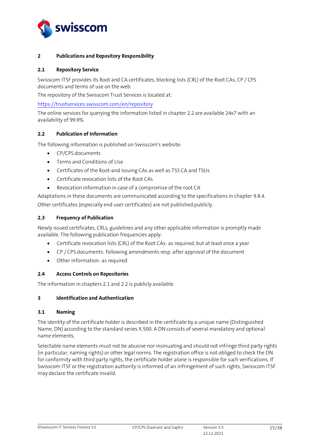

#### <span id="page-14-0"></span>**2 Publications and Repository Responsibility**

#### <span id="page-14-1"></span>**2.1 Repository Service**

Swisscom ITSF provides its Root and CA certificates, blocking lists (CRL) of the Root CAs, CP / CPS documents and terms of use on the web.

The repository of the Swisscom Trust Services is located at:

[https://trustservices.swisscom.com/en/repository](https://trustservices.swisscom.com/en/repository/)

The online services for querying the information listed in chapter 2.2 are available 24x7 with an availability of 99.9%.

### <span id="page-14-2"></span>**2.2 Publication of Information**

The following information is published on Swisscom's website:

- CP/CPS documents
- Terms and Conditions of Use
- Certificates of the Root-and Issuing CAs as well as TSS CA and TSUs
- Certificate revocation lists of the Root CAs
- Revocation information in case of a compromise of the root CA

Adaptations in these documents are communicated according to the specifications in chapter 9.8.4. Other certificates (especially end user certificates) are not published publicly.

### <span id="page-14-3"></span>**2.3 Frequency of Publication**

Newly issued certificates, CRLs, guidelines and any other applicable information is promptly made available. The following publication frequencies apply:

- Certificate revocation lists (CRL) of the Root CAs: as required, but at least once a year
- CP / CPS documents: following amendments resp. after approval of the document
- Other information: as required

#### <span id="page-14-4"></span>**2.4 Access Controls on Repositories**

The information in chapters 2.1 and 2.2 is publicly available.

#### <span id="page-14-5"></span>**3 Identification and Authentication**

#### <span id="page-14-6"></span>**3.1 Naming**

The identity of the certificate holder is described in the certificate by a unique name (Distinguished Name, DN) according to the standard series X.500. A DN consists of several mandatory and optional name elements.

Selectable name elements must not be abusive nor insinuating and should not infringe third party rights (in particular, naming rights) or other legal norms. The registration office is not obliged to check the DN for conformity with third party rights, the certificate holder alone is responsible for such verifications. If Swisscom ITSF or the registration authority is informed of an infringement of such rights, Swisscom ITSF may declare the certificate invalid.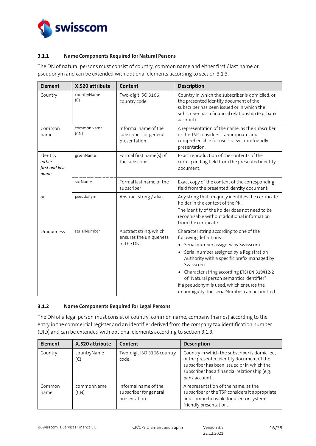

## <span id="page-15-0"></span>**3.1.1 Name Components Required for Natural Persons**

The DN of natural persons must consist of country, common name and either first / last name or pseudonym and can be extended with optional elements according to section 3.1.3.

| <b>Element</b>                               | X.520 attribute    | Content                                                         | <b>Description</b>                                                                                                                                                                                                                                                                                                                                                                                                                   |
|----------------------------------------------|--------------------|-----------------------------------------------------------------|--------------------------------------------------------------------------------------------------------------------------------------------------------------------------------------------------------------------------------------------------------------------------------------------------------------------------------------------------------------------------------------------------------------------------------------|
| Country                                      | countryName<br>(C) | Two-digit ISO 3166<br>country code                              | Country in which the subscriber is domiciled, or<br>the presented identity document of the<br>subscriber has been issued or in which the<br>subscriber has a financial relationship (e.g. bank<br>account).                                                                                                                                                                                                                          |
| Common<br>name                               | commonName<br>(CN) | Informal name of the<br>subscriber for general<br>presentation. | A representation of the name, as the subscriber<br>or the TSP considers it appropriate and<br>comprehensible for user- or system-friendly<br>presentation.                                                                                                                                                                                                                                                                           |
| Identity<br>either<br>first and last<br>name | givenName          | Formal first name(s) of<br>the subscriber                       | Exact reproduction of the contents of the<br>corresponding field from the presented identity<br>document.                                                                                                                                                                                                                                                                                                                            |
|                                              | surName            | Formal last name of the<br>subscriber                           | Exact copy of the content of the corresponding<br>field from the presented identity document.                                                                                                                                                                                                                                                                                                                                        |
| or                                           | pseudonym          | Abstract string / alias                                         | Any string that uniquely identifies the certificate<br>holder in the context of the PKI.<br>The identity of the holder does not need to be<br>recognizable without additional information<br>from the certificate.                                                                                                                                                                                                                   |
| Uniqueness                                   | serialNumber       | Abstract string, which<br>ensures the uniqueness<br>of the DN   | Character string according to one of the<br>following definitions:<br>• Serial number assigned by Swisscom<br>Serial number assigned by a Registration<br>$\bullet$<br>Authority with a specific prefix managed by<br>Swisscom<br>Character string according ETSI EN 319412-2<br>$\bullet$<br>of "Natural person semantics identifier"<br>If a pseudonym is used, which ensures the<br>unambiguity, the serialNumber can be omitted. |

## <span id="page-15-1"></span>**3.1.2 Name Components Required for Legal Persons**

The DN of a legal person must consist of country, common name, company (names) according to the entry in the commercial register and an identifier derived from the company tax identification number (UID) and can be extended with optional elements according to section 3.1.3.

| <b>Element</b> | X.520 attribute    | Content                                                        | <b>Description</b>                                                                                                                                                                                          |
|----------------|--------------------|----------------------------------------------------------------|-------------------------------------------------------------------------------------------------------------------------------------------------------------------------------------------------------------|
| Country        | countryName<br>(C) | Two-digit ISO 3166 country<br>code                             | Country in which the subscriber is domiciled,<br>or the presented identity document of the<br>subscriber has been issued or in which the<br>subscriber has a financial relationship (e.g.<br>bank account). |
| Common<br>name | commonName<br>(CN) | Informal name of the<br>subscriber for general<br>presentation | A representation of the name, as the<br>subscriber or the TSP considers it appropriate<br>and comprehensible for user- or system-<br>friendly presentation.                                                 |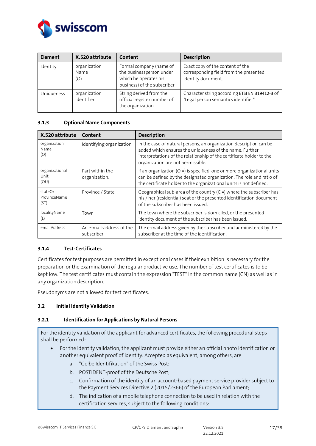

| <b>Element</b> | X.520 attribute             | Content                                                                                                     | <b>Description</b>                                                                               |
|----------------|-----------------------------|-------------------------------------------------------------------------------------------------------------|--------------------------------------------------------------------------------------------------|
| Identity       | organization<br>Name<br>(O) | Formal company (name of<br>the businessperson under<br>which he operates his<br>business) of the subscriber | Exact copy of the content of the<br>corresponding field from the presented<br>identity document. |
| Uniqueness     | organization<br>Identifier  | String derived from the<br>official register number of<br>the organization                                  | Character string according ETSI EN 319412-3 of<br>"Legal person semantics identifier"            |

### <span id="page-16-0"></span>**3.1.3 Optional Name Components**

| X.520 attribute                 | Content                                | <b>Description</b>                                                                                                                                                                                                                         |
|---------------------------------|----------------------------------------|--------------------------------------------------------------------------------------------------------------------------------------------------------------------------------------------------------------------------------------------|
| organization<br>Name<br>(O)     | Identifying organization               | In the case of natural persons, an organization description can be<br>added which ensures the uniqueness of the name. Further<br>interpretations of the relationship of the certificate holder to the<br>organization are not permissible. |
| organizational<br>Unit<br>(OU)  | Part within the<br>organization.       | If an organization ( $O =$ ) is specified, one or more organizational units<br>can be defined by the designated organization. The role and ratio of<br>the certificate holder to the organizational units is not defined.                  |
| stateOr<br>ProvinceName<br>(ST) | Province / State                       | Geographical sub-area of the country $(C =)$ where the subscriber has<br>his / her (residential) seat or the presented identification document<br>of the subscriber has been issued.                                                       |
| localityName<br>(L)             | Town                                   | The town where the subscriber is domiciled, or the presented<br>identity document of the subscriber has been issued.                                                                                                                       |
| emailAddress                    | An e-mail-address of the<br>subscriber | The e-mail address given by the subscriber and administered by the<br>subscriber at the time of the identification.                                                                                                                        |

## <span id="page-16-1"></span>**3.1.4 Test-Certificates**

Certificates for test purposes are permitted in exceptional cases if their exhibition is necessary for the preparation or the examination of the regular productive use. The number of test certificates is to be kept low. The test certificates must contain the expression "TEST" in the common name (CN) as well as in any organization description.

Pseudonyms are not allowed for test certificates.

#### <span id="page-16-2"></span>**3.2 Initial Identity Validation**

#### <span id="page-16-3"></span>**3.2.1 Identification for Applications by Natural Persons**

For the identity validation of the applicant for advanced certificates, the following procedural steps shall be performed:

- For the identity validation, the applicant must provide either an official photo identification or another equivalent proof of identity. Accepted as equivalent, among others, are
	- a. "Gelbe Identifikation" of the Swiss Post;
	- b. POSTIDENT-proof of the Deutsche Post;
	- c. Confirmation of the identity of an account-based payment service provider subject to the Payment Services Directive 2 (2015/2366) of the European Parliament;
	- d. The indication of a mobile telephone connection to be used in relation with the certification services, subject to the following conditions: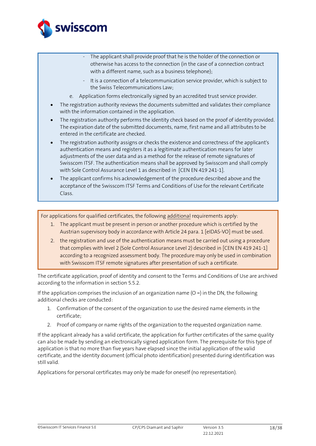

- The applicant shall provide proof that he is the holder of the connection or otherwise has access to the connection (in the case of a connection contract with a different name, such as a business telephone);
- It is a connection of a telecommunication service provider, which is subject to the Swiss Telecommunications Law;
- e. Application forms electronically signed by an accredited trust service provider.
- The registration authority reviews the documents submitted and validates their compliance with the information contained in the application.
- The registration authority performs the identity check based on the proof of identity provided. The expiration date of the submitted documents, name, first name and all attributes to be entered in the certificate are checked.
- The registration authority assigns or checks the existence and correctness of the applicant's authentication means and registers it as a legitimate authentication means for later adjustments of the user data and as a method for the release of remote signatures of Swisscom ITSF. The authentication means shall be approved by Swisscom and shall comply with Sole Control Assurance Level 1 as described in [CEN EN [419 241-1\].](#page-2-7)
- The applicant confirms his acknowledgement of the procedure described above and the acceptance of the Swisscom ITSF Terms and Conditions of Use for the relevant Certificate Class.

For applications for qualified certificates, the following additional requirements apply:

- 1. The applicant must be present in person or another procedure which is certified by the Austrian supervisory body in accordance with Article 24 para. [1 \[eIDAS-VO\]](#page-2-0) must be used.
- 2. the registration and use of the authentication means must be carried out using a procedure that complies with level 2 (Sole Control Assurance Level 2) described in [CEN EN [419 241-1\]](#page-2-7) according to a recognized assessment body. The procedure may only be used in combination with Swisscom ITSF remote signatures after presentation of such a certificate.

The certificate application, proof of identity and consent to the Terms and Conditions of Use are archived according to the information in section 5.5.2.

If the application comprises the inclusion of an organization name  $(O =)$  in the DN, the following additional checks are conducted:

- 1. Confirmation of the consent of the organization to use the desired name elements in the certificate;
- 2. Proof of company or name rights of the organization to the requested organization name.

If the applicant already has a valid certificate, the application for further certificates of the same quality can also be made by sending an electronically signed application form. The prerequisite for this type of application is that no more than five years have elapsed since the initial application of the valid certificate, and the identity document (official photo identification) presented during identification was still valid.

Applications for personal certificates may only be made for oneself (no representation).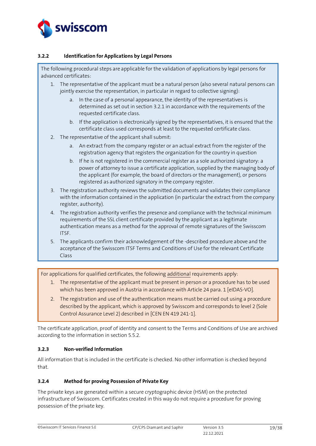

## <span id="page-18-0"></span>**3.2.2 Identification for Applications by Legal Persons**

The following procedural steps are applicable for the validation of applications by legal persons for advanced certificates:

- 1. The representative of the applicant must be a natural person (also several natural persons can jointly exercise the representation, in particular in regard to collective signing):
	- a. In the case of a personal appearance, the identity of the representatives is determined as set out in section 3.2.1 in accordance with the requirements of the requested certificate class.
	- b. If the application is electronically signed by the representatives, it is ensured that the certificate class used corresponds at least to the requested certificate class.
- 2. The representative of the applicant shall submit:
	- a. An extract from the company register or an actual extract from the register of the registration agency that registers the organization for the country in question
	- b. If he is not registered in the commercial register as a sole authorized signatory: a power of attorney to issue a certificate application, supplied by the managing body of the applicant (for example, the board of directors or the management), or persons registered as authorized signatory in the company register.
- 3. The registration authority reviews the submitted documents and validates their compliance with the information contained in the application (in particular the extract from the company register, authority).
- 4. The registration authority verifies the presence and compliance with the technical minimum requirements of the SSL client certificate provided by the applicant as a legitimate authentication means as a method for the approval of remote signatures of the Swisscom ITSF.
- 5. The applicants confirm their acknowledgement of the -described procedure above and the acceptance of the Swisscom ITSF Terms and Conditions of Use for the relevant Certificate Class

For applications for qualified certificates, the following additional requirements apply:

- 1. The representative of the applicant must be present in person or a procedure has to be used which has been approved in Austria in accordance with Article 24 para. [1 \[eIDAS-VO\].](#page-2-0)
- 2. The registration and use of the authentication means must be carried out using a procedure described by the applicant, which is approved by Swisscom and corresponds to level 2 (Sole Control Assurance Level 2) described in [CEN EN [419 241-1\].](#page-2-7)

The certificate application, proof of identity and consent to the Terms and Conditions of Use are archived according to the information in section 5.5.2.

#### <span id="page-18-1"></span>**3.2.3 Non-verified Information**

All information that is included in the certificate is checked. No other information is checked beyond that.

#### <span id="page-18-2"></span>**3.2.4 Method for proving Possession of Private Key**

The private keys are generated within a secure cryptographic device (HSM) on the protected infrastructure of Swisscom. Certificates created in this way do not require a procedure for proving possession of the private key.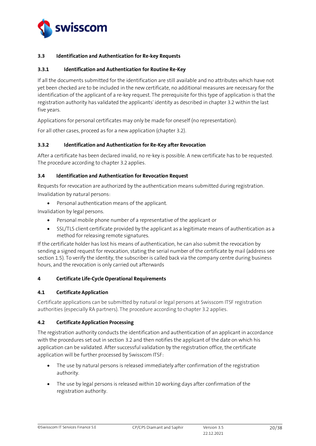

## <span id="page-19-0"></span>**3.3 Identification and Authentication for Re-key Requests**

#### <span id="page-19-1"></span>**3.3.1 Identification and Authentication for Routine Re-Key**

If all the documents submitted for the identification are still available and no attributes which have not yet been checked are to be included in the new certificate, no additional measures are necessary for the identification of the applicant of a re-key request. The prerequisite for this type of application is that the registration authority has validated the applicants' identity as described in chapter 3.2 within the last five years.

Applications for personal certificates may only be made for oneself (no representation).

For all other cases, proceed as for a new application (chapter 3.2).

#### <span id="page-19-2"></span>**3.3.2 Identification and Authentication for Re-Key after Revocation**

After a certificate has been declared invalid, no re-key is possible. A new certificate has to be requested. The procedure according to chapter 3.2 applies.

#### <span id="page-19-3"></span>**3.4 Identification and Authentication for Revocation Request**

Requests for revocation are authorized by the authentication means submitted during registration. Invalidation by natural persons:

• Personal authentication means of the applicant.

Invalidation by legal persons.

- Personal mobile phone number of a representative of the applicant or
- SSL/TLS client certificate provided by the applicant as a legitimate means of authentication as a method for releasing remote signatures.

If the certificate holder has lost his means of authentication, he can also submit the revocation by sending a signed request for revocation, stating the serial number of the certificate by mail (address see section 1.5). To verify the identity, the subscriber is called back via the company centre during business hours, and the revocation is only carried out afterwards

#### <span id="page-19-4"></span>**4 Certificate Life-Cycle Operational Requirements**

#### <span id="page-19-5"></span>**4.1 Certificate Application**

Certificate applications can be submitted by natural or legal persons at Swisscom ITSF registration authorities (especially RA partners). The procedure according to chapter 3.2 applies.

#### <span id="page-19-6"></span>**4.2 Certificate Application Processing**

The registration authority conducts the identification and authentication of an applicant in accordance with the procedures set out in section 3.2 and then notifies the applicant of the date on which his application can be validated. After successful validation by the registration office, the certificate application will be further processed by Swisscom ITSF:

- The use by natural persons is released immediately after confirmation of the registration authority.
- The use by legal persons is released within 10 working days after confirmation of the registration authority.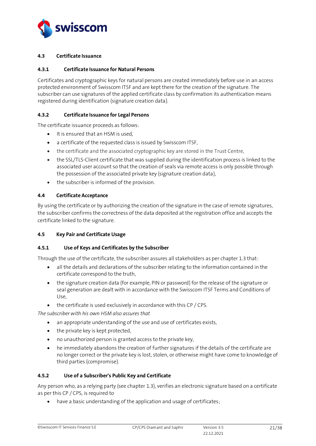

#### <span id="page-20-0"></span>**4.3 Certificate Issuance**

#### <span id="page-20-1"></span>**4.3.1 Certificate Issuance for Natural Persons**

Certificates and cryptographic keys for natural persons are created immediately before use in an access protected environment of Swisscom ITSF and are kept there for the creation of the signature. The subscriber can use signatures of the applied certificate class by confirmation its authentication means registered during identification (signature creation data).

### <span id="page-20-2"></span>**4.3.2 Certificate Issuance for Legal Persons**

The certificate issuance proceeds as follows:

- It is ensured that an HSM is used,
- a certificate of the requested class is issued by Swisscom ITSF,
- the certificate and the associated cryptographic key are stored in the Trust Centre,
- the SSL/TLS-Client certificate that was supplied during the identification process is linked to the associated user account so that the creation of seals via remote access is only possible through the possession of the associated private key (signature creation data),
- the subscriber is informed of the provision.

#### <span id="page-20-3"></span>**4.4 Certificate Acceptance**

By using the certificate or by authorizing the creation of the signature in the case of remote signatures, the subscriber confirms the correctness of the data deposited at the registration office and accepts the certificate linked to the signature.

#### <span id="page-20-4"></span>**4.5 Key Pair and Certificate Usage**

#### <span id="page-20-5"></span>**4.5.1 Use of Keys and Certificates by the Subscriber**

Through the use of the certificate, the subscriber assures all stakeholders as per chapter 1.3 that:

- all the details and declarations of the subscriber relating to the information contained in the certificate correspond to the truth,
- the signature creation data (for example, PIN or password) for the release of the signature or seal generation are dealt with in accordance with the Swisscom ITSF Terms and Conditions of Use,
- the certificate is used exclusively in accordance with this CP / CPS.

*The subscriber with his own HSM also assures that*

- an appropriate understanding of the use and use of certificates exists,
- the private key is kept protected,
- no unauthorized person is granted access to the private key,
- he immediately abandons the creation of further signatures if the details of the certificate are no longer correct or the private key is lost, stolen, or otherwise might have come to knowledge of third parties (compromise).

#### <span id="page-20-6"></span>**4.5.2 Use of a Subscriber's Public Key and Certificate**

Any person who, as a relying party (see chapte[r 1.3\)](#page-8-0), verifies an electronic signature based on a certificate as per this CP / CPS, is required to

• have a basic understanding of the application and usage of certificates;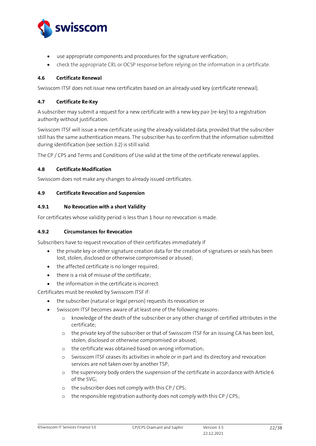

- use appropriate components and procedures for the signature verification;
- check the appropriate CRL or OCSP response before relying on the information in a certificate.

#### <span id="page-21-0"></span>**4.6 Certificate Renewal**

Swisscom ITSF does not issue new certificates based on an already used key (certificate renewal).

#### <span id="page-21-1"></span>**4.7 Certificate Re-Key**

A subscriber may submit a request for a new certificate with a new key pair (re-key) to a registration authority without justification.

Swisscom ITSF will issue a new certificate using the already validated data, provided that the subscriber still has the same authentication means. The subscriber has to confirm that the information submitted during identification (see section 3.2) is still valid.

The CP / CPS and Terms and Conditions of Use valid at the time of the certificate renewal applies.

### <span id="page-21-2"></span>**4.8 Certificate Modification**

Swisscom does not make any changes to already issued certificates.

### <span id="page-21-3"></span>**4.9 Certificate Revocation and Suspension**

### <span id="page-21-4"></span>**4.9.1 No Revocation with a short Validity**

For certificates whose validity period is less than 1 hour no revocation is made.

#### <span id="page-21-5"></span>**4.9.2 Circumstances for Revocation**

Subscribers have to request revocation of their certificates immediately if

- the private key or other signature creation data for the creation of signatures or seals has been lost, stolen, disclosed or otherwise compromised or abused;
- the affected certificate is no longer required;
- there is a risk of misuse of the certificate;
- the information in the certificate is incorrect.

Certificates must be revoked by Swisscom ITSF if:

- the subscriber (natural or legal person) requests its revocation or
- Swisscom ITSF becomes aware of at least one of the following reasons:
	- o knowledge of the death of the subscriber or any other change of certified attributes in the certificate;
	- o the private key of the subscriber or that of Swisscom ITSF for an issuing CA has been lost, stolen, disclosed or otherwise compromised or abused;
	- o the certificate was obtained based on wrong information;
	- o Swisscom ITSF ceases its activities in whole or in part and its directory and revocation services are not taken over by another TSP;
	- o the supervisory body orders the suspension of the certificate in accordance with Article 6 of the SVG;
	- o the subscriber does not comply with this CP / CPS;
	- o the responsible registration authority does not comply with this CP / CPS;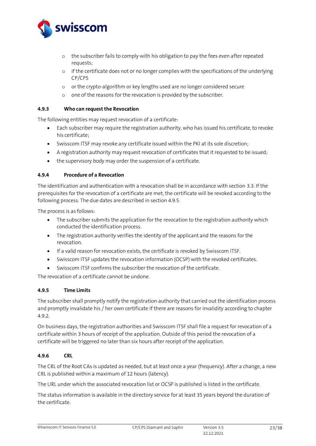

- o the subscriber fails to comply with his obligation to pay the fees even after repeated requests;
- o if the certificate does not or no longer complies with the specifications of the underlying CP/CPS
- o or the crypto-algorithm or key lengths used are no longer considered secure
- o one of the reasons for the revocation is provided by the subscriber.

#### <span id="page-22-0"></span>**4.9.3 Who can request the Revocation**

The following entities may request revocation of a certificate:

- Each subscriber may require the registration authority, who has issued his certificate, to revoke his certificate;
- Swisscom ITSF may revoke any certificate issued within the PKI at its sole discretion;
- A registration authority may request revocation of certificates that it requested to be issued;
- the supervisory body may order the suspension of a certificate.

### <span id="page-22-1"></span>**4.9.4 Procedure of a Revocation**

The identification and authentication with a revocation shall be in accordance with section [3.3.](#page-19-0) If the prerequisites for the revocation of a certificate are met, the certificate will be revoked according to the following process. The due dates are described in section 4.9.5.

The process is as follows:

- The subscriber submits the application for the revocation to the registration authority which conducted the identification process.
- The registration authority verifies the identity of the applicant and the reasons for the revocation.
- If a valid reason for revocation exists, the certificate is revoked by Swisscom ITSF.
- Swisscom ITSF updates the revocation information (OCSP) with the revoked certificates.
- Swisscom ITSF confirms the subscriber the revocation of the certificate.

The revocation of a certificate cannot be undone.

## <span id="page-22-2"></span>**4.9.5 Time Limits**

The subscriber shall promptly notify the registration authority that carried out the identification process and promptly invalidate his / her own certificate if there are reasons for invalidity according to chapter [4.9.2.](#page-21-5)

On business days, the registration authorities and Swisscom ITSF shall file a request for revocation of a certificate within 3 hours of receipt of the application. Outside of this period the revocation of a certificate will be triggered no later than six hours after receipt of the application.

## <span id="page-22-3"></span>**4.9.6 CRL**

The CRL of the Root CAs is updated as needed, but at least once a year (frequency). After a change, a new CRL is published within a maximum of 12 hours (latency).

The URL under which the associated revocation list or OCSP is published is listed in the certificate.

The status information is available in the directory service for at least 35 years beyond the duration of the certificate.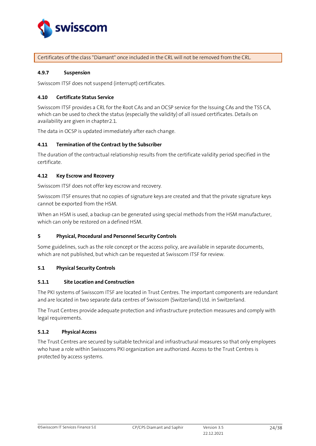

Certificates of the class "Diamant" once included in the CRL will not be removed from the CRL.

#### <span id="page-23-0"></span>**4.9.7 Suspension**

Swisscom ITSF does not suspend (interrupt) certificates.

#### <span id="page-23-1"></span>**4.10 Certificate Status Service**

Swisscom ITSF provides a CRL for the Root CAs and an OCSP service for the Issuing CAs and the TSS CA, which can be used to check the status (especially the validity) of all issued certificates. Details on availability are given in chapte[r2.1.](#page-14-1) 

The data in OCSP is updated immediately after each change.

#### <span id="page-23-2"></span>**4.11 Termination of the Contract by the Subscriber**

The duration of the contractual relationship results from the certificate validity period specified in the certificate.

#### <span id="page-23-3"></span>**4.12 Key Escrow and Recovery**

Swisscom ITSF does not offer key escrow and recovery.

Swisscom ITSF ensures that no copies of signature keys are created and that the private signature keys cannot be exported from the HSM.

When an HSM is used, a backup can be generated using special methods from the HSM manufacturer, which can only be restored on a defined HSM.

#### <span id="page-23-4"></span>**5 Physical, Procedural and Personnel Security Controls**

Some guidelines, such as the role concept or the access policy, are available in separate documents, which are not published, but which can be requested at Swisscom ITSF for review.

#### <span id="page-23-5"></span>**5.1 Physical Security Controls**

#### <span id="page-23-6"></span>**5.1.1 Site Location and Construction**

The PKI systems of Swisscom ITSF are located in Trust Centres. The important components are redundant and are located in two separate data centres of Swisscom (Switzerland) Ltd. in Switzerland.

The Trust Centres provide adequate protection and infrastructure protection measures and comply with legal requirements.

#### <span id="page-23-7"></span>**5.1.2 Physical Access**

The Trust Centres are secured by suitable technical and infrastructural measures so that only employees who have a role within Swisscoms PKI organization are authorized. Access to the Trust Centres is protected by access systems.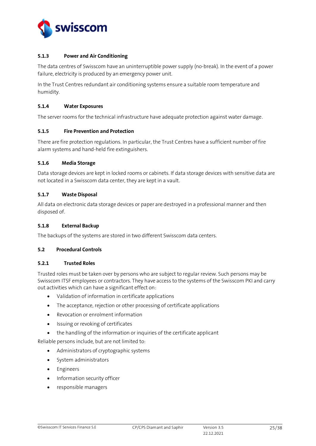

#### <span id="page-24-0"></span>**5.1.3 Power and Air Conditioning**

The data centres of Swisscom have an uninterruptible power supply (no-break). In the event of a power failure, electricity is produced by an emergency power unit.

In the Trust Centres redundant air conditioning systems ensure a suitable room temperature and humidity.

#### <span id="page-24-1"></span>**5.1.4 Water Exposures**

The server rooms for the technical infrastructure have adequate protection against water damage.

#### <span id="page-24-2"></span>**5.1.5 Fire Prevention and Protection**

There are fire protection regulations. In particular, the Trust Centres have a sufficient number of fire alarm systems and hand-held fire extinguishers.

## <span id="page-24-3"></span>**5.1.6 Media Storage**

Data storage devices are kept in locked rooms or cabinets. If data storage devices with sensitive data are not located in a Swisscom data center, they are kept in a vault.

## <span id="page-24-4"></span>**5.1.7 Waste Disposal**

All data on electronic data storage devices or paper are destroyed in a professional manner and then disposed of.

#### <span id="page-24-5"></span>**5.1.8 External Backup**

The backups of the systems are stored in two different Swisscom data centers.

## <span id="page-24-6"></span>**5.2 Procedural Controls**

## <span id="page-24-7"></span>**5.2.1 Trusted Roles**

Trusted roles must be taken over by persons who are subject to regular review. Such persons may be Swisscom ITSF employees or contractors. They have access to the systems of the Swisscom PKI and carry out activities which can have a significant effect on:

- Validation of information in certificate applications
- The acceptance, rejection or other processing of certificate applications
- Revocation or enrolment information
- Issuing or revoking of certificates
- the handling of the information or inquiries of the certificate applicant

Reliable persons include, but are not limited to:

- Administrators of cryptographic systems
- System administrators
- Engineers
- Information security officer
- responsible managers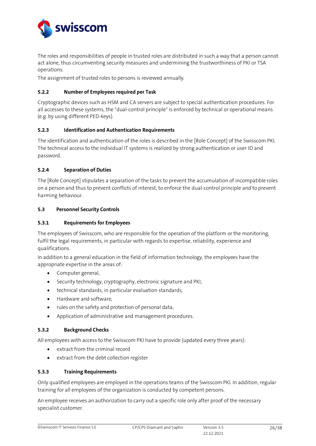

The roles and responsibilities of people in trusted roles are distributed in such a way that a person cannot act alone, thus circumventing security measures and undermining the trustworthiness of PKI or TSA operations.

The assignment of trusted roles to persons is reviewed annually.

## <span id="page-25-0"></span>**5.2.2 Number of Employees required per Task**

Cryptographic devices such as HSM and CA servers are subject to special authentication procedures. For all accesses to these systems, the "dual-control principle" is enforced by technical or operational means (e.g. by using different PED-keys).

## <span id="page-25-1"></span>**5.2.3 Identification and Authentication Requirements**

The identification and authentication of the roles is described in th[e \[Role Concept\]](#page-2-8) of the Swisscom PKI. The technical access to the individual IT systems is realized by strong authentication or user ID and password.

### <span id="page-25-2"></span>**5.2.4 Separation of Duties**

Th[e \[Role Concept\]](#page-2-8) stipulates a separation of the tasks to prevent the accumulation of incompatible roles on a person and thus to prevent conflicts of interest, to enforce the dual-control principle and to prevent harming behaviour.

### <span id="page-25-3"></span>**5.3 Personnel Security Controls**

### <span id="page-25-4"></span>**5.3.1 Requirements for Employees**

The employees of Swisscom, who are responsible for the operation of the platform or the monitoring, fulfil the legal requirements, in particular with regards to expertise, reliability, experience and qualifications.

In addition to a general education in the field of information technology, the employees have the appropriate expertise in the areas of:

- Computer general,
- Security technology, cryptography, electronic signature and PKI,
- technical standards, in particular evaluation standards,
- Hardware and software,
- rules on the safety and protection of personal data,
- Application of administrative and management procedures.

#### <span id="page-25-5"></span>**5.3.2 Background Checks**

All employees with access to the Swisscom PKI have to provide (updated every three years):

- extract from the criminal record
- extract from the debt collection register

#### <span id="page-25-6"></span>**5.3.3 Training Requirements**

Only qualified employees are employed in the operations teams of the Swisscom PKI. In addition, regular training for all employees of the organization is conducted by competent persons.

An employee receives an authorization to carry out a specific role only after proof of the necessary specialist customer.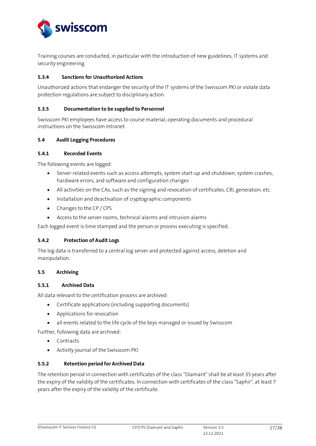

Training courses are conducted, in particular with the introduction of new guidelines, IT systems and security engineering.

## <span id="page-26-0"></span>**5.3.4 Sanctions for Unauthorized Actions**

Unauthorized actions that endanger the security of the IT systems of the Swisscom PKI or violate data protection regulations are subject to disciplinary action.

#### <span id="page-26-1"></span>**5.3.5 Documentation to be supplied to Personnel**

Swisscom PKI employees have access to course material, operating documents and procedural instructions on the Swisscom Intranet.

#### <span id="page-26-2"></span>**5.4 Audit Logging Procedures**

#### <span id="page-26-3"></span>**5.4.1 Recorded Events**

The following events are logged:

- Server-related events such as access attempts, system start-up and shutdown, system crashes, hardware errors, and software and configuration changes
- All activities on the CAs, such as the signing and revocation of certificates, CRL generation, etc.
- Installation and deactivation of cryptographic components
- Changes to the CP / CPS
- Access to the server rooms, technical alarms and intrusion alarms

Each logged event is time stamped and the person or process executing is specified.

#### <span id="page-26-4"></span>**5.4.2 Protection of Audit Logs**

The log data is transferred to a central log server and protected against access, deletion and manipulation.

#### <span id="page-26-5"></span>**5.5 Archiving**

#### <span id="page-26-6"></span>**5.5.1 Archived Data**

All data relevant to the certification process are archived:

- Certificate applications (including supporting documents)
- Applications for revocation
- all events related to the life cycle of the keys managed or issued by Swisscom

Further, following data are archived:

- Contracts
- Activity journal of the Swisscom PKI

#### <span id="page-26-7"></span>**5.5.2 Retention period for Archived Data**

The retention period in connection with certificates of the class "Diamant" shall be at least 35 years after the expiry of the validity of the certificates. In connection with certificates of the class "Saphir", at least 7 years after the expiry of the validity of the certificate.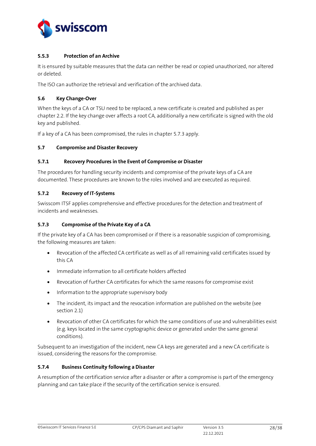

### <span id="page-27-0"></span>**5.5.3 Protection of an Archive**

It is ensured by suitable measures that the data can neither be read or copied unauthorized, nor altered or deleted.

The ISO can authorize the retrieval and verification of the archived data.

### <span id="page-27-1"></span>**5.6 Key Change-Over**

When the keys of a CA or TSU need to be replaced, a new certificate is created and published as per chapte[r 2.2.](#page-14-2) If the key change over affects a root CA, additionally a new certificate is signed with the old key and published.

If a key of a CA has been compromised, the rules in chapte[r 5.7.3](#page-27-5) apply.

### <span id="page-27-2"></span>**5.7 Compromise and Disaster Recovery**

### <span id="page-27-3"></span>**5.7.1 Recovery Procedures in the Event of Compromise or Disaster**

The procedures for handling security incidents and compromise of the private keys of a CA are documented. These procedures are known to the roles involved and are executed as required.

### <span id="page-27-4"></span>**5.7.2 Recovery of IT-Systems**

Swisscom ITSF applies comprehensive and effective procedures for the detection and treatment of incidents and weaknesses.

## <span id="page-27-5"></span>**5.7.3 Compromise of the Private Key of a CA**

If the private key of a CA has been compromised or if there is a reasonable suspicion of compromising, the following measures are taken:

- Revocation of the affected CA certificate as well as of all remaining valid certificates issued by this CA
- Immediate information to all certificate holders affected
- Revocation of further CA certificates for which the same reasons for compromise exist
- Information to the appropriate supervisory body
- The incident, its impact and the revocation information are published on the website (see section 2.1)
- Revocation of other CA certificates for which the same conditions of use and vulnerabilities exist (e.g. keys located in the same cryptographic device or generated under the same general conditions).

Subsequent to an investigation of the incident, new CA keys are generated and a new CA certificate is issued, considering the reasons for the compromise.

#### <span id="page-27-6"></span>**5.7.4 Business Continuity following a Disaster**

A resumption of the certification service after a disaster or after a compromise is part of the emergency planning and can take place if the security of the certification service is ensured.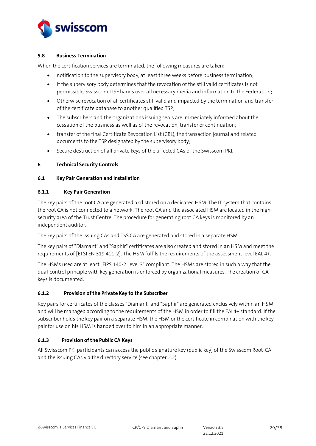

#### <span id="page-28-0"></span>**5.8 Business Termination**

When the certification services are terminated, the following measures are taken:

- notification to the supervisory body, at least three weeks before business termination;
- If the supervisory body determines that the revocation of the still valid certificates is not permissible, Swisscom ITSF hands over all necessary media and information to the Federation;
- Otherwise revocation of all certificates still valid and impacted by the termination and transfer of the certificate database to another qualified TSP;
- The subscribers and the organizations issuing seals are immediately informed about the cessation of the business as well as of the revocation, transfer or continuation;
- transfer of the final Certificate Revocation List (CRL), the transaction journal and related documents to the TSP designated by the supervisory body;
- Secure destruction of all private keys of the affected CAs of the Swisscom PKI.

#### <span id="page-28-1"></span>**6 Technical Security Controls**

#### <span id="page-28-2"></span>**6.1 Key Pair Generation and Installation**

#### <span id="page-28-3"></span>**6.1.1 Key Pair Generation**

The key pairs of the root CA are generated and stored on a dedicated HSM. The IT system that contains the root CA is not connected to a network. The root CA and the associated HSM are located in the highsecurity area of the Trust Centre. The procedure for generating root CA keys is monitored by an independent auditor.

The key pairs of the issuing CAs and TSS CA are generated and stored in a separate HSM.

The key pairs of "Diamant" and "Saphir" certificates are also created and stored in an HSM and meet the requirements o[f \[ETSI EN 319 411-2\].](#page-2-5) The HSM fulfils the requirements of the assessment level EAL 4+.

The HSMs used are at least "FIPS 140-2 Level 3" compliant. The HSMs are stored in such a way that the dual-control principle with key generation is enforced by organizational measures. The creation of CA keys is documented.

#### <span id="page-28-4"></span>**6.1.2 Provision of the Private Key to the Subscriber**

Key pairs for certificates of the classes "Diamant" and "Saphir" are generated exclusively within an HSM and will be managed according to the requirements of the HSM in order to fill the EAL4+ standard. If the subscriber holds the key pair on a separate HSM, the HSM or the certificate in combination with the key pair for use on his HSM is handed over to him in an appropriate manner.

#### <span id="page-28-5"></span>**6.1.3 Provision of the Public CA Keys**

All Swisscom PKI participants can access the public signature key (public key) of the Swisscom Root-CA and the issuing CAs via the directory service (see chapte[r 2.2\)](#page-14-2).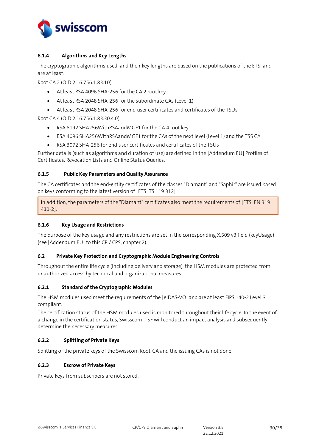

## <span id="page-29-0"></span>**6.1.4 Algorithms and Key Lengths**

The cryptographic algorithms used, and their key lengths are based on the publications of the ETSI and are at least:

Root CA 2 (OID 2.16.756.1.83.10)

- At least RSA 4096 SHA-256 for the CA 2 root key
- At least RSA 2048 SHA-256 for the subordinate CAs (Level 1)
- At least RSA 2048 SHA-256 for end user certificates and certificates of the TSUs

Root CA 4 (OID 2.16.756.1.83.30.4.0)

- RSA 8192 SHA256WithRSAandMGF1 for the CA 4 root key
- RSA 4096 SHA256WithRSAandMGF1 for the CAs of the next level (Level 1) and the TSS CA
- RSA 3072 SHA-256 for end user certificates and certificates of the TSUs

Further details (such as algorithms and duration of use) are defined in the [\[Addendum](#page-2-9) EU] Profiles of Certificates, Revocation Lists and Online Status Queries.

## <span id="page-29-1"></span>**6.1.5 Public Key Parameters and Quality Assurance**

The CA certificates and the end-entity certificates of the classes "Diamant" and "Saphir" are issued based on keys conforming to the latest version of [\[ETSI TS 119 312\].](#page-2-10)

In addition, the parameters of the "Diamant" certificates also meet the requirements of [ETSI EN 319 [411-2\].](#page-2-5)

## <span id="page-29-2"></span>**6.1.6 Key Usage and Restrictions**

The purpose of the key usage and any restrictions are set in the corresponding X.509 v3 field (keyUsage) (se[e \[Addendum](#page-2-9) EU] to this CP / CPS, chapter 2).

## <span id="page-29-3"></span>**6.2 Private Key Protection and Cryptographic Module Engineering Controls**

Throughout the entire life cycle (including delivery and storage), the HSM modules are protected from unauthorized access by technical and organizational measures.

## <span id="page-29-4"></span>**6.2.1 Standard of the Cryptographic Modules**

The HSM modules used meet the requirements of th[e \[eIDAS-VO\]](#page-2-0) and are at least FIPS 140-2 Level 3 compliant.

The certification status of the HSM modules used is monitored throughout their life cycle. In the event of a change in the certification status, Swisscom ITSF will conduct an impact analysis and subsequently determine the necessary measures.

## <span id="page-29-5"></span>**6.2.2 Splitting of Private Keys**

Splitting of the private keys of the Swisscom Root-CA and the issuing CAs is not done.

#### <span id="page-29-6"></span>**6.2.3 Escrow of Private Keys**

Private keys from subscribers are not stored.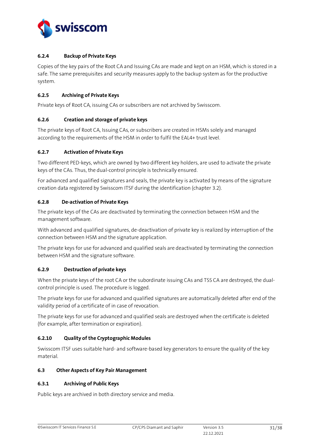

## <span id="page-30-0"></span>**6.2.4 Backup of Private Keys**

Copies of the key pairs of the Root CA and Issuing CAs are made and kept on an HSM, which is stored in a safe. The same prerequisites and security measures apply to the backup system as for the productive system.

### <span id="page-30-1"></span>**6.2.5 Archiving of Private Keys**

Private keys of Root CA, issuing CAs or subscribers are not archived by Swisscom.

### <span id="page-30-2"></span>**6.2.6 Creation and storage of private keys**

The private keys of Root CA, Issuing CAs, or subscribers are created in HSMs solely and managed according to the requirements of the HSM in order to fulfil the EAL4+ trust level.

### <span id="page-30-3"></span>**6.2.7 Activation of Private Keys**

Two different PED-keys, which are owned by two different key holders, are used to activate the private keys of the CAs. Thus, the dual-control principle is technically ensured.

For advanced and qualified signatures and seals, the private key is activated by means of the signature creation data registered by Swisscom ITSF during the identification (chapter 3.2).

### <span id="page-30-4"></span>**6.2.8 De-activation of Private Keys**

The private keys of the CAs are deactivated by terminating the connection between HSM and the management software.

With advanced and qualified signatures, de-deactivation of private key is realized by interruption of the connection between HSM and the signature application.

The private keys for use for advanced and qualified seals are deactivated by terminating the connection between HSM and the signature software.

## <span id="page-30-5"></span>**6.2.9 Destruction of private keys**

When the private keys of the root CA or the subordinate issuing CAs and TSS CA are destroyed, the dualcontrol principle is used. The procedure is logged.

The private keys for use for advanced and qualified signatures are automatically deleted after end of the validity period of a certificate of in case of revocation.

The private keys for use for advanced and qualified seals are destroyed when the certificate is deleted (for example, after termination or expiration).

#### <span id="page-30-6"></span>**6.2.10 Quality of the Cryptographic Modules**

Swisscom ITSF uses suitable hard- and software-based key generators to ensure the quality of the key material.

#### <span id="page-30-7"></span>**6.3 Other Aspects of Key Pair Management**

#### <span id="page-30-8"></span>**6.3.1 Archiving of Public Keys**

Public keys are archived in both directory service and media.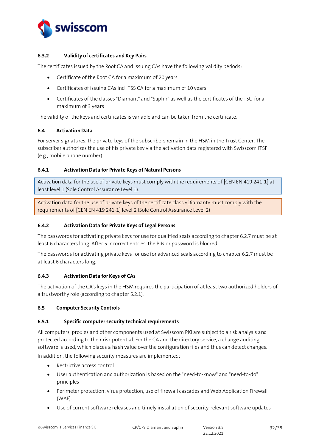

## <span id="page-31-0"></span>**6.3.2 Validity of certificates and Key Pairs**

The certificates issued by the Root CA and Issuing CAs have the following validity periods:

- Certificate of the Root CA for a maximum of 20 years
- Certificates of issuing CAs incl. TSS CA for a maximum of 10 years
- Certificates of the classes "Diamant" and "Saphir" as well as the certificates of the TSU for a maximum of 3 years

The validity of the keys and certificates is variable and can be taken from the certificate.

#### <span id="page-31-1"></span>**6.4 Activation Data**

For server signatures, the private keys of the subscribers remain in the HSM in the Trust Center. The subscriber authorizes the use of his private key via the activation data registered with Swisscom ITSF (e.g., mobile phone number).

### <span id="page-31-2"></span>**6.4.1 Activation Data for Private Keys of Natural Persons**

Activation data for the use of private keys must comply with the requirements of [CEN EN [419 241-1\]](#page-2-7) at least level 1 (Sole Control Assurance Level 1).

Activation data for the use of private keys of the certificate class «Diamant» must comply with the requirements of [CEN EN [419 241-1\]](#page-2-7) level 2 (Sole Control Assurance Level 2)

#### <span id="page-31-3"></span>**6.4.2 Activation Data for Private Keys of Legal Persons**

The passwords for activating private keys for use for qualified seals according to chapter 6.2.7 must be at least 6 characters long. After 5 incorrect entries, the PIN or password is blocked.

The passwords for activating private keys for use for advanced seals according to chapter 6.2.7 must be at least 6 characters long.

#### <span id="page-31-4"></span>**6.4.3 Activation Data for Keys of CAs**

The activation of the CA's keys in the HSM requires the participation of at least two authorized holders of a trustworthy role (according to chapter 5.2.1).

#### <span id="page-31-5"></span>**6.5 Computer Security Controls**

#### <span id="page-31-6"></span>**6.5.1 Specific computer security technical requirements**

All computers, proxies and other components used at Swisscom PKI are subject to a risk analysis and protected according to their risk potential. For the CA and the directory service, a change auditing software is used, which places a hash value over the configuration files and thus can detect changes. In addition, the following security measures are implemented:

- Restrictive access control
- User authentication and authorization is based on the "need-to-know" and "need-to-do" principles
- Perimeter protection: virus protection, use of firewall cascades and Web Application Firewall (WAF).
- Use of current software releases and timely installation of security-relevant software updates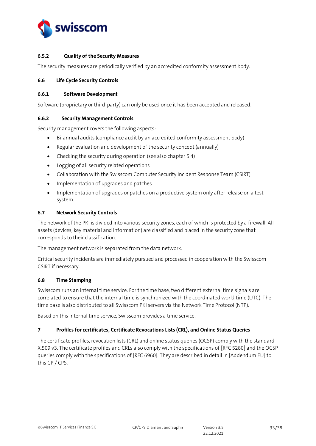

#### <span id="page-32-0"></span>**6.5.2 Quality of the Security Measures**

The security measures are periodically verified by an accredited conformity assessment body.

#### <span id="page-32-1"></span>**6.6 Life Cycle Security Controls**

#### <span id="page-32-2"></span>**6.6.1 Software Development**

Software (proprietary or third-party) can only be used once it has been accepted and released.

### <span id="page-32-3"></span>**6.6.2 Security Management Controls**

Security management covers the following aspects:

- Bi-annual audits (compliance audit by an accredited conformity assessment body)
- Regular evaluation and development of the security concept (annually)
- Checking the security during operation (see also chapter 5.4)
- Logging of all security related operations
- Collaboration with the Swisscom Computer Security Incident Response Team (CSIRT)
- Implementation of upgrades and patches
- Implementation of upgrades or patches on a productive system only after release on a test system.

### <span id="page-32-4"></span>**6.7 Network Security Controls**

The network of the PKI is divided into various security zones, each of which is protected by a firewall. All assets (devices, key material and information) are classified and placed in the security zone that corresponds to their classification.

The management network is separated from the data network.

Critical security incidents are immediately pursued and processed in cooperation with the Swisscom CSIRT if necessary.

#### <span id="page-32-5"></span>**6.8 Time Stamping**

Swisscom runs an internal time service. For the time base, two different external time signals are correlated to ensure that the internal time is synchronized with the coordinated world time (UTC). The time base is also distributed to all Swisscom PKI servers via the Network Time Protocol (NTP).

Based on this internal time service, Swisscom provides a time service.

#### <span id="page-32-6"></span>**7 Profiles for certificates, Certificate Revocations Lists (CRL), and Online Status Queries**

The certificate profiles, revocation lists (CRL) and online status queries (OCSP) comply with the standard X.509 v3. The certificate profiles and CRLs also comply with the specifications of [\[RFC 5280\]](#page-2-11) and the OCSP queries comply with the specifications of [\[RFC 6960\].](#page-2-12) They are described in detail i[n \[Addendum](#page-2-9) EU] to this CP / CPS.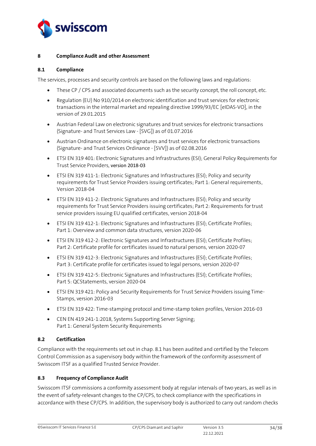

#### <span id="page-33-0"></span>**8 Compliance Audit and other Assessment**

#### <span id="page-33-1"></span>**8.1 Compliance**

The services, processes and security controls are based on the following laws and regulations:

- These CP / CPS and associated documents such as the security concept, the roll concept, etc.
- Regulation (EU) No 910/2014 on electronic identification and trust services for electronic transactions in the internal market and repealing directive 1999/93/EC [\[eIDAS-VO\],](#page-2-0) in the version of 29.01.2015
- Austrian Federal Law on electronic signatures and trust services for electronic transactions (Signature- and Trust Services Law - [\[SVG\]\)](#page-2-1) as of 01.07.2016
- Austrian Ordinance on electronic signatures and trust services for electronic transactions (Signature- and Trust Services Ordinance - [\[SVV\]\)](#page-2-2) as of 02.08.2016
- ETSI EN 319 401: Electronic Signatures and Infrastructures (ESI); General Policy Requirements for Trust Service Providers, version 2018-03
- ETSI EN 319 411-1: Electronic Signatures and Infrastructures (ESI); Policy and security requirements for Trust Service Providers issuing certificates; Part 1: General requirements, Version 2018-04
- ETSI EN 319 411-2: Electronic Signatures and Infrastructures (ESI); Policy and security requirements for Trust Service Providers issuing certificates; Part 2: Requirements for trust service providers issuing EU qualified certificates, version 2018-04
- ETSI EN 319 412-1: Electronic Signatures and Infrastructures (ESI); Certificate Profiles; Part 1: Overview and common data structures, version 2020-06
- ETSI EN 319 412-2: Electronic Signatures and Infrastructures (ESI); Certificate Profiles; Part 2: Certificate profile for certificates issued to natural persons, version 2020-07
- ETSI EN 319 412-3: Electronic Signatures and Infrastructures (ESI); Certificate Profiles; Part 3: Certificate profile for certificates issued to legal persons, version 2020-07
- ETSI EN 319 412-5: Electronic Signatures and Infrastructures (ESI); Certificate Profiles; Part 5: QCStatements, version 2020-04
- ETSI EN 319 421: Policy and Security Requirements for Trust Service Providers issuing Time-Stamps, version 2016-03
- ETSI EN 319 422: Time-stamping protocol and time-stamp token profiles, Version 2016-03
- CEN EN 419 241-1:2018, Systems Supporting Server Signing; Part 1: General System Security Requirements

## <span id="page-33-2"></span>**8.2 Certification**

Compliance with the requirements set out in chap. 8.1 has been audited and certified by the Telecom Control Commission as a supervisory body within the framework of the conformity assessment of Swisscom ITSF as a qualified Trusted Service Provider.

#### <span id="page-33-3"></span>**8.3 Frequency of Compliance Audit**

Swisscom ITSF commissions a conformity assessment body at regular intervals of two years, as well as in the event of safety-relevant changes to the CP/CPS, to check compliance with the specifications in accordance with these CP/CPS. In addition, the supervisory body is authorized to carry out random checks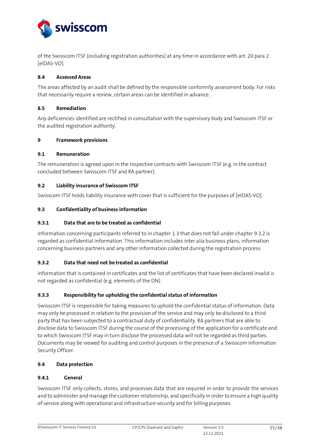

of the Swisscom ITSF (including registration authorities) at any time in accordance with art. 20 para 2 [\[eIDAS-VO\].](#page-2-0)

### <span id="page-34-0"></span>**8.4 Assessed Areas**

The areas affected by an audit shall be defined by the responsible conformity assessment body. For risks that necessarily require a review, certain areas can be identified in advance.

#### <span id="page-34-1"></span>**8.5 Remediation**

Any deficiencies identified are rectified in consultation with the supervisory body and Swisscom ITSF or the audited registration authority.

#### <span id="page-34-2"></span>**9 Framework provisions**

#### <span id="page-34-3"></span>**9.1 Remuneration**

The remuneration is agreed upon in the respective contracts with Swisscom ITSF (e.g. in the contract concluded between Swisscom ITSF and RA partner).

#### <span id="page-34-4"></span>**9.2 Liability insurance of Swisscom ITSF**

Swisscom ITSF holds liability insurance with cover that is sufficient for the purposes o[f \[eIDAS-VO\].](#page-2-0)

#### <span id="page-34-5"></span>**9.3 Confidentiality of business information**

#### <span id="page-34-6"></span>**9.3.1 Data that are to be treated as confidential**

Information concerning participants referred to in chapte[r 1.3](#page-8-0) that does not fall under chapte[r 9.3.2](#page-34-7) is regarded as confidential information. This information includes inter alia business plans, information concerning business partners and any other information collected during the registration process.

#### <span id="page-34-7"></span>**9.3.2 Data that need not be treated as confidential**

Information that is contained in certificates and the list of certificates that have been declared invalid is not regarded as confidential (e.g. elements of the DN).

#### <span id="page-34-8"></span>**9.3.3 Responsibility for upholding the confidential status of information**

Swisscom ITSF is responsible for taking measures to uphold the confidential status of information. Data may only be processed in relation to the provision of the service and may only be disclosed to a third party that has been subjected to a contractual duty of confidentiality. RA partners that are able to disclose data to Swisscom ITSF during the course of the processing of the application for a certificate and to which Swisscom ITSF may in turn disclose the processed data will not be regarded as third parties. Documents may be viewed for auditing and control purposes in the presence of a Swisscom Information Security Officer.

## <span id="page-34-9"></span>**9.4 Data protection**

#### <span id="page-34-10"></span>**9.4.1 General**

Swisscom ITSF only collects, stores, and processes data that are required in order to provide the services and to administer and manage the customer relationship, and specifically in order to ensure a high quality of service along with operational and infrastructure security and for billing purposes.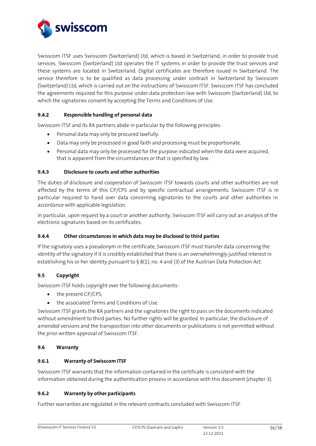

Swisscom ITSF uses Swisscom (Switzerland) Ltd, which is based in Switzerland, in order to provide trust services. Swisscom (Switzerland) Ltd operates the IT systems in order to provide the trust services and these systems are located in Switzerland. Digital certificates are therefore issued in Switzerland. The service therefore is to be qualified as data processing under contract in Switzerland by Swisscom (Switzerland) Ltd, which is carried out on the instructions of Swisscom ITSF. Swisscom ITSF has concluded the agreements required for this purpose under data protection law with Swisscom (Switzerland) Ltd, to which the signatories consent by accepting the Terms and Conditions of Use.

## <span id="page-35-0"></span>**9.4.2 Responsible handling of personal data**

Swisscom ITSF and its RA partners abide in particular by the following principles:

- Personal data may only be procured lawfully.
- Data may only be processed in good faith and processing must be proportionate.
- Personal data may only be processed for the purpose indicated when the data were acquired, that is apparent from the circumstances or that is specified by law.

### <span id="page-35-1"></span>**9.4.3 Disclosure to courts and other authorities**

The duties of disclosure and cooperation of Swisscom ITSF towards courts and other authorities are not affected by the terms of this CP/CPS and by specific contractual arrangements. Swisscom ITSF is in particular required to hand over data concerning signatories to the courts and other authorities in accordance with applicable legislation.

In particular, upon request by a court or another authority, Swisscom ITSF will carry out an analysis of the electronic signatures based on its certificates.

#### <span id="page-35-2"></span>**9.4.4 Other circumstances in which data may be disclosed to third parties**

If the signatory uses a pseudonym in the certificate, Swisscom ITSF must transfer data concerning the identity of the signatory if it is credibly established that there is an overwhelmingly justified interest in establishing his or her identity pursuant to  $\S$  8(1), no. 4 and (3) of the Austrian Data Protection Act.

## <span id="page-35-3"></span>**9.5 Copyright**

Swisscom ITSF holds copyright over the following documents:

- the present CP/CPS;
- the associated Terms and Conditions of Use.

Swisscom ITSF grants the RA partners and the signatories the right to pass on the documents indicated without amendment to third parties. No further rights will be granted. In particular, the disclosure of amended versions and the transposition into other documents or publications is not permitted without the prior written approval of Swisscom ITSF.

#### <span id="page-35-4"></span>**9.6 Warranty**

#### <span id="page-35-5"></span>**9.6.1 Warranty of Swisscom ITSF**

Swisscom ITSF warrants that the information contained in the certificate is consistent with the information obtained during the authentication process in accordance with this document (chapter 3).

## <span id="page-35-6"></span>**9.6.2 Warranty by other participants**

Further warranties are regulated in the relevant contracts concluded with Swisscom ITSF.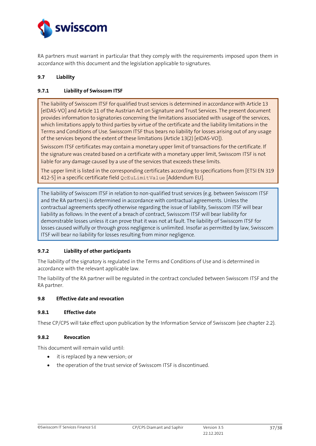

RA partners must warrant in particular that they comply with the requirements imposed upon them in accordance with this document and the legislation applicable to signatures.

## <span id="page-36-0"></span>**9.7 Liability**

### <span id="page-36-1"></span>**9.7.1 Liability of Swisscom ITSF**

The liability of Swisscom ITSF for qualified trust services is determined in accordance with Article 13 [\[eIDAS-VO\]](#page-2-0) and Article 11 of the Austrian Act on Signature and Trust Services. The present document provides information to signatories concerning the limitations associated with usage of the services, which limitations apply to third parties by virtue of the certificate and the liability limitations in the Terms and Conditions of Use. Swisscom ITSF thus bears no liability for losses arising out of any usage of the services beyond the extent of these limitations (Article 13(2[\) \[eIDAS-VO\]\)](#page-2-0).

Swisscom ITSF certificates may contain a monetary upper limit of transactions for the certificate. If the signature was created based on a certificate with a monetary upper limit, Swisscom ITSF is not liable for any damage caused by a use of the services that exceeds these limits.

The upper limit is listed in the corresponding certificates according to specifications from [ETSI EN 319 412-5] in a specific certificate field QcEuLimitValue [\[Addendum](#page-2-9) EU].

The liability of Swisscom ITSF in relation to non-qualified trust services (e.g. between Swisscom ITSF and the RA partners) is determined in accordance with contractual agreements. Unless the contractual agreements specify otherwise regarding the issue of liability, Swisscom ITSF will bear liability as follows: In the event of a breach of contract, Swisscom ITSF will bear liability for demonstrable losses unless it can prove that it was not at fault. The liability of Swisscom ITSF for losses caused wilfully or through gross negligence is unlimited. Insofar as permitted by law, Swisscom ITSF will bear no liability for losses resulting from minor negligence.

#### <span id="page-36-2"></span>**9.7.2 Liability of other participants**

The liability of the signatory is regulated in the Terms and Conditions of Use and is determined in accordance with the relevant applicable law.

The liability of the RA partner will be regulated in the contract concluded between Swisscom ITSF and the RA partner.

#### <span id="page-36-3"></span>**9.8 Effective date and revocation**

#### <span id="page-36-4"></span>**9.8.1 Effective date**

These CP/CPS will take effect upon publication by the Information Service of Swisscom (see chapter [2.2\)](#page-14-2).

#### <span id="page-36-5"></span>**9.8.2 Revocation**

This document will remain valid until:

- it is replaced by a new version; or
- the operation of the trust service of Swisscom ITSF is discontinued.